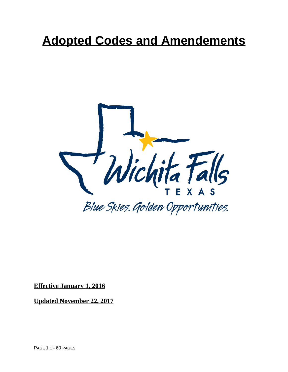# **Adopted Codes and Amendements**



**Effective January 1, 2016**

**Updated November 22, 2017**

PAGE 1 OF 60 PAGES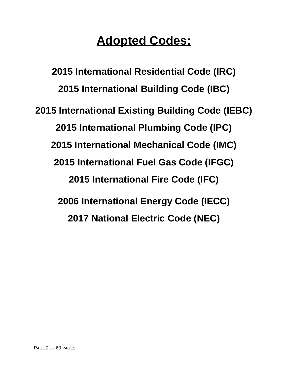# **Adopted Codes:**

**2015 International Residential Code (IRC) 2015 International Building Code (IBC) 2015 International Existing Building Code (IEBC) 2015 International Plumbing Code (IPC) 2015 International Mechanical Code (IMC) 2015 International Fuel Gas Code (IFGC) 2015 International Fire Code (IFC) 2006 International Energy Code (IECC) 2017 National Electric Code (NEC)**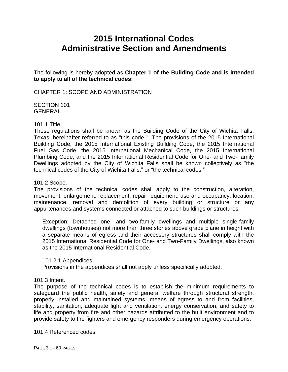# **2015 International Codes Administrative Section and Amendments**

The following is hereby adopted as **Chapter 1 of the Building Code and is intended to apply to all of the technical codes:**

CHAPTER 1: SCOPE AND ADMINISTRATION

SECTION 101 GENERAL

# 101.1 Title.

These regulations shall be known as the Building Code of the City of Wichita Falls, Texas, hereinafter referred to as "this code." The provisions of the 2015 International Building Code, the 2015 International Existing Building Code, the 2015 International Fuel Gas Code, the 2015 International Mechanical Code, the 2015 International Plumbing Code, and the 2015 International Residential Code for One- and Two-Family Dwellings adopted by the City of Wichita Falls shall be known collectively as "the technical codes of the City of Wichita Falls," or "the technical codes."

# 101.2 Scope.

The provisions of the technical codes shall apply to the construction, alteration, movement, enlargement, replacement, repair, equipment, use and occupancy, location, maintenance, removal and demolition of every building or structure or any appurtenances and systems connected or attached to such buildings or structures.

Exception: Detached one- and two-family dwellings and multiple single-family dwellings (townhouses) not more than three stories above grade plane in height with a separate means of egress and their accessory structures shall comply with the 2015 International Residential Code for One- and Two-Family Dwellings, also known as the 2015 International Residential Code.

# 101.2.1 Appendices.

Provisions in the appendices shall not apply unless specifically adopted.

# 101.3 Intent.

The purpose of the technical codes is to establish the minimum requirements to safeguard the public health, safety and general welfare through structural strength, properly installed and maintained systems, means of egress to and from facilities, stability, sanitation, adequate light and ventilation, energy conservation, and safety to life and property from fire and other hazards attributed to the built environment and to provide safety to fire fighters and emergency responders during emergency operations.

101.4 Referenced codes.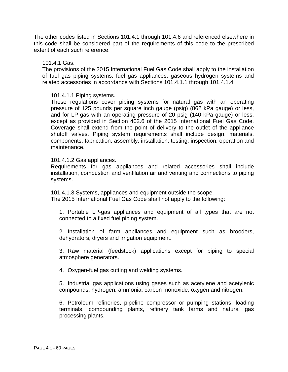The other codes listed in Sections 101.4.1 through 101.4.6 and referenced elsewhere in this code shall be considered part of the requirements of this code to the prescribed extent of each such reference.

101.4.1 Gas.

The provisions of the 2015 International Fuel Gas Code shall apply to the installation of fuel gas piping systems, fuel gas appliances, gaseous hydrogen systems and related accessories in accordance with Sections 101.4.1.1 through 101.4.1.4.

# 101.4.1.1 Piping systems.

These regulations cover piping systems for natural gas with an operating pressure of 125 pounds per square inch gauge (psig) (862 kPa gauge) or less, and for LP-gas with an operating pressure of 20 psig (140 kPa gauge) or less, except as provided in Section 402.6 of the 2015 International Fuel Gas Code. Coverage shall extend from the point of delivery to the outlet of the appliance shutoff valves. Piping system requirements shall include design, materials, components, fabrication, assembly, installation, testing, inspection, operation and maintenance.

# 101.4.1.2 Gas appliances.

Requirements for gas appliances and related accessories shall include installation, combustion and ventilation air and venting and connections to piping systems.

101.4.1.3 Systems, appliances and equipment outside the scope. The 2015 International Fuel Gas Code shall not apply to the following:

1. Portable LP-gas appliances and equipment of all types that are not connected to a fixed fuel piping system.

2. Installation of farm appliances and equipment such as brooders, dehydrators, dryers and irrigation equipment.

3. Raw material (feedstock) applications except for piping to special atmosphere generators.

4. Oxygen-fuel gas cutting and welding systems.

5. Industrial gas applications using gases such as acetylene and acetylenic compounds, hydrogen, ammonia, carbon monoxide, oxygen and nitrogen.

6. Petroleum refineries, pipeline compressor or pumping stations, loading terminals, compounding plants, refinery tank farms and natural gas processing plants.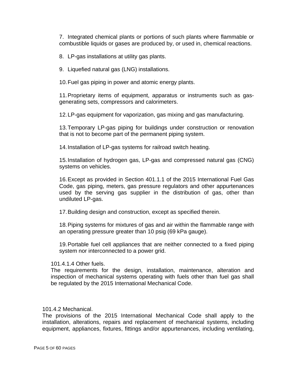7. Integrated chemical plants or portions of such plants where flammable or combustible liquids or gases are produced by, or used in, chemical reactions.

8. LP-gas installations at utility gas plants.

9. Liquefied natural gas (LNG) installations.

10.Fuel gas piping in power and atomic energy plants.

11.Proprietary items of equipment, apparatus or instruments such as gasgenerating sets, compressors and calorimeters.

12.LP-gas equipment for vaporization, gas mixing and gas manufacturing.

13.Temporary LP-gas piping for buildings under construction or renovation that is not to become part of the permanent piping system.

14.Installation of LP-gas systems for railroad switch heating.

15.Installation of hydrogen gas, LP-gas and compressed natural gas (CNG) systems on vehicles.

16.Except as provided in Section 401.1.1 of the 2015 International Fuel Gas Code, gas piping, meters, gas pressure regulators and other appurtenances used by the serving gas supplier in the distribution of gas, other than undiluted LP-gas.

17.Building design and construction, except as specified therein.

18.Piping systems for mixtures of gas and air within the flammable range with an operating pressure greater than 10 psig (69 kPa gauge).

19.Portable fuel cell appliances that are neither connected to a fixed piping system nor interconnected to a power grid.

101.4.1.4 Other fuels.

The requirements for the design, installation, maintenance, alteration and inspection of mechanical systems operating with fuels other than fuel gas shall be regulated by the 2015 International Mechanical Code.

#### 101.4.2 Mechanical.

The provisions of the 2015 International Mechanical Code shall apply to the installation, alterations, repairs and replacement of mechanical systems, including equipment, appliances, fixtures, fittings and/or appurtenances, including ventilating,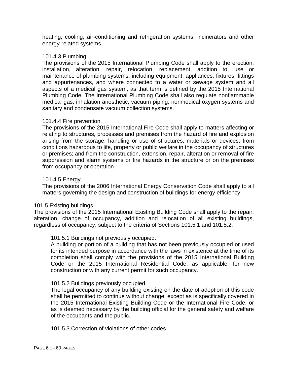heating, cooling, air-conditioning and refrigeration systems, incinerators and other energy-related systems.

# 101.4.3 Plumbing.

The provisions of the 2015 International Plumbing Code shall apply to the erection, installation, alteration, repair, relocation, replacement, addition to, use or maintenance of plumbing systems, including equipment, appliances, fixtures, fittings and appurtenances, and where connected to a water or sewage system and all aspects of a medical gas system, as that term is defined by the 2015 International Plumbing Code. The International Plumbing Code shall also regulate nonflammable medical gas, inhalation anesthetic, vacuum piping, nonmedical oxygen systems and sanitary and condensate vacuum collection systems.

# 101.4.4 Fire prevention.

The provisions of the 2015 International Fire Code shall apply to matters affecting or relating to structures, processes and premises from the hazard of fire and explosion arising from the storage, handling or use of structures, materials or devices; from conditions hazardous to life, property or public welfare in the occupancy of structures or premises; and from the construction, extension, repair, alteration or removal of fire suppression and alarm systems or fire hazards in the structure or on the premises from occupancy or operation.

# 101.4.5 Energy.

The provisions of the 2006 International Energy Conservation Code shall apply to all matters governing the design and construction of buildings for energy efficiency.

# 101.5 Existing buildings.

The provisions of the 2015 International Existing Building Code shall apply to the repair, alteration, change of occupancy, addition and relocation of all existing buildings, regardless of occupancy, subject to the criteria of Sections 101.5.1 and 101.5.2.

# 101.5.1 Buildings not previously occupied.

A building or portion of a building that has not been previously occupied or used for its intended purpose in accordance with the laws in existence at the time of its completion shall comply with the provisions of the 2015 International Building Code or the 2015 International Residential Code, as applicable, for new construction or with any current permit for such occupancy.

# 101.5.2 Buildings previously occupied.

The legal occupancy of any building existing on the date of adoption of this code shall be permitted to continue without change, except as is specifically covered in the 2015 International Existing Building Code or the International Fire Code, or as is deemed necessary by the building official for the general safety and welfare of the occupants and the public.

101.5.3 Correction of violations of other codes.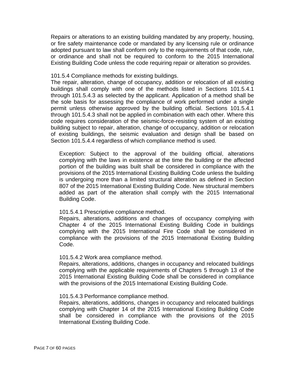Repairs or alterations to an existing building mandated by any property, housing, or fire safety maintenance code or mandated by any licensing rule or ordinance adopted pursuant to law shall conform only to the requirements of that code, rule, or ordinance and shall not be required to conform to the 2015 International Existing Building Code unless the code requiring repair or alteration so provides.

# 101.5.4 Compliance methods for existing buildings.

The repair, alteration, change of occupancy, addition or relocation of all existing buildings shall comply with one of the methods listed in Sections 101.5.4.1 through 101.5.4.3 as selected by the applicant. Application of a method shall be the sole basis for assessing the compliance of work performed under a single permit unless otherwise approved by the building official. Sections 101.5.4.1 through 101.5.4.3 shall not be applied in combination with each other. Where this code requires consideration of the seismic-force-resisting system of an existing building subject to repair, alteration, change of occupancy, addition or relocation of existing buildings, the seismic evaluation and design shall be based on Section 101.5.4.4 regardless of which compliance method is used.

Exception: Subject to the approval of the building official, alterations complying with the laws in existence at the time the building or the affected portion of the building was built shall be considered in compliance with the provisions of the 2015 International Existing Building Code unless the building is undergoing more than a limited structural alteration as defined in Section 807 of the 2015 International Existing Building Code. New structural members added as part of the alteration shall comply with the 2015 International Building Code.

# 101.5.4.1 Prescriptive compliance method.

Repairs, alterations, additions and changes of occupancy complying with Chapter 4 of the 2015 International Existing Building Code in buildings complying with the 2015 International Fire Code shall be considered in compliance with the provisions of the 2015 International Existing Building Code.

# 101.5.4.2 Work area compliance method.

Repairs, alterations, additions, changes in occupancy and relocated buildings complying with the applicable requirements of Chapters 5 through 13 of the 2015 International Existing Building Code shall be considered in compliance with the provisions of the 2015 International Existing Building Code.

# 101.5.4.3 Performance compliance method.

Repairs, alterations, additions, changes in occupancy and relocated buildings complying with Chapter 14 of the 2015 International Existing Building Code shall be considered in compliance with the provisions of the 2015 International Existing Building Code.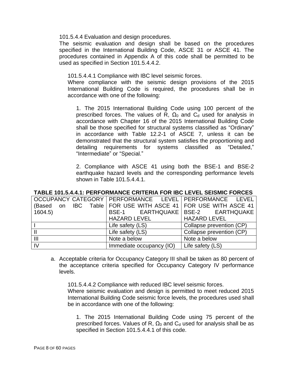101.5.4.4 Evaluation and design procedures.

The seismic evaluation and design shall be based on the procedures specified in the International Building Code, ASCE 31 or ASCE 41. The procedures contained in Appendix A of this code shall be permitted to be used as specified in Section 101.5.4.4.2.

101.5.4.4.1 Compliance with IBC level seismic forces.

Where compliance with the seismic design provisions of the 2015 International Building Code is required, the procedures shall be in accordance with one of the following:

1. The 2015 International Building Code using 100 percent of the prescribed forces. The values of R,  $\Omega_0$  and C<sub>d</sub> used for analysis in accordance with Chapter 16 of the 2015 International Building Code shall be those specified for structural systems classified as "Ordinary" in accordance with Table 12.2-1 of ASCE 7, unless it can be demonstrated that the structural system satisfies the proportioning and detailing requirements for systems classified as "Detailed," "Intermediate" or "Special."

2. Compliance with ASCE 41 using both the BSE-1 and BSE-2 earthquake hazard levels and the corresponding performance levels shown in Table 101.5.4.4.1.

|                |                                                                   | OCCUPANCY CATEGORY   PERFORMANCE LEVEL   PERFORMANCE LEVEL |  |
|----------------|-------------------------------------------------------------------|------------------------------------------------------------|--|
|                | (Based on IBC Table   FOR USE WITH ASCE 41   FOR USE WITH ASCE 41 |                                                            |  |
| 1604.5         |                                                                   | BSE-1 EARTHQUAKE   BSE-2 EARTHQUAKE                        |  |
|                | <b>HAZARD LEVEL</b>                                               | <b>HAZARD LEVEL</b>                                        |  |
|                | Life safety (LS)                                                  | Collapse prevention (CP)                                   |  |
|                | Life safety (LS)                                                  | Collapse prevention (CP)                                   |  |
| $\mathbf{III}$ | Note a below                                                      | Note a below                                               |  |
| IV             | Immediate occupancy (IO)                                          | Life safety (LS)                                           |  |

# **TABLE 101.5.4.4.1: PERFORMANCE CRITERIA FOR IBC LEVEL SEISMIC FORCES**

a. Acceptable criteria for Occupancy Category III shall be taken as 80 percent of the acceptance criteria specified for Occupancy Category IV performance levels.

101.5.4.4.2 Compliance with reduced IBC level seismic forces.

Where seismic evaluation and design is permitted to meet reduced 2015 International Building Code seismic force levels, the procedures used shall be in accordance with one of the following:

1. The 2015 International Building Code using 75 percent of the prescribed forces. Values of R,  $Ω_0$  and  $C_d$  used for analysis shall be as specified in Section 101.5.4.4.1 of this code.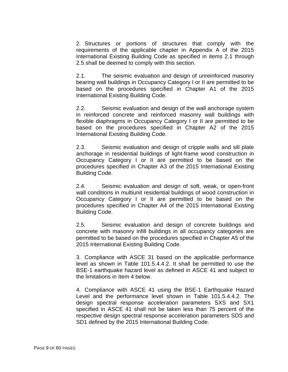2. Structures or portions of structures that comply with the requirements of the applicable chapter in Appendix A of the 2015 International Existing Building Code as specified in items 2.1 through 2.5 shall be deemed to comply with this section.

2.1. The seismic evaluation and design of unreinforced masonry bearing wall buildings in Occupancy Category I or II are permitted to be based on the procedures specified in Chapter A1 of the 2015 International Existing Building Code.

2.2. Seismic evaluation and design of the wall anchorage system in reinforced concrete and reinforced masonry wall buildings with flexible diaphragms in Occupancy Category I or II are permitted to be based on the procedures specified in Chapter A2 of the 2015 International Existing Building Code.

2.3. Seismic evaluation and design of cripple walls and sill plate anchorage in residential buildings of light-frame wood construction in Occupancy Category I or II are permitted to be based on the procedures specified in Chapter A3 of the 2015 International Existing Building Code.

2.4. Seismic evaluation and design of soft, weak, or open-front wall conditions in multiunit residential buildings of wood construction in Occupancy Category I or II are permitted to be based on the procedures specified in Chapter A4 of the 2015 International Existing Building Code.

2.5. Seismic evaluation and design of concrete buildings and concrete with masonry infill buildings in all occupancy categories are permitted to be based on the procedures specified in Chapter A5 of the 2015 International Existing Building Code.

3. Compliance with ASCE 31 based on the applicable performance level as shown in Table 101.5.4.4.2. It shall be permitted to use the BSE-1 earthquake hazard level as defined in ASCE 41 and subject to the limitations in Item 4 below.

4. Compliance with ASCE 41 using the BSE-1 Earthquake Hazard Level and the performance level shown in Table 101.5.4.4.2. The design spectral response acceleration parameters SXS and SX1 specified in ASCE 41 shall not be taken less than 75 percent of the respective design spectral response acceleration parameters SDS and SD1 defined by the 2015 International Building Code.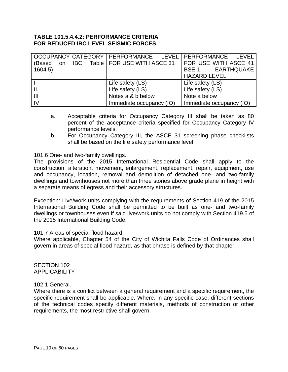# **TABLE 101.5.4.4.2: PERFORMANCE CRITERIA FOR REDUCED IBC LEVEL SEISMIC FORCES**

|                                            | OCCUPANCY CATEGORY   PERFORMANCE LEVEL   PERFORMANCE LEVEL |                          |  |
|--------------------------------------------|------------------------------------------------------------|--------------------------|--|
| (Based on IBC Table   FOR USE WITH ASCE 31 |                                                            | FOR USE WITH ASCE 41     |  |
| 1604.5                                     |                                                            | BSE-1 EARTHQUAKE         |  |
|                                            |                                                            | <b>HAZARD LEVEL</b>      |  |
|                                            | Life safety (LS)                                           | Life safety (LS)         |  |
| $\mathbf{I}$                               | Life safety (LS)                                           | Life safety (LS)         |  |
| III                                        | Notes a & b below                                          | Note a below             |  |
| IV                                         | Immediate occupancy (IO)                                   | Immediate occupancy (IO) |  |

- a. Acceptable criteria for Occupancy Category III shall be taken as 80 percent of the acceptance criteria specified for Occupancy Category IV performance levels.
- b. For Occupancy Category III, the ASCE 31 screening phase checklists shall be based on the life safety performance level.

# 101.6 One- and two-family dwellings.

The provisions of the 2015 International Residential Code shall apply to the construction, alteration, movement, enlargement, replacement, repair, equipment, use and occupancy, location, removal and demolition of detached one- and two-family dwellings and townhouses not more than three stories above grade plane in height with a separate means of egress and their accessory structures.

Exception: Live/work units complying with the requirements of Section 419 of the 2015 International Building Code shall be permitted to be built as one- and two-family dwellings or townhouses even if said live/work units do not comply with Section 419.5 of the 2015 International Building Code.

# 101.7 Areas of special flood hazard.

Where applicable, Chapter 54 of the City of Wichita Falls Code of Ordinances shall govern in areas of special flood hazard, as that phrase is defined by that chapter.

SECTION 102 APPLICABILITY

# 102.1 General.

Where there is a conflict between a general requirement and a specific requirement, the specific requirement shall be applicable. Where, in any specific case, different sections of the technical codes specify different materials, methods of construction or other requirements, the most restrictive shall govern.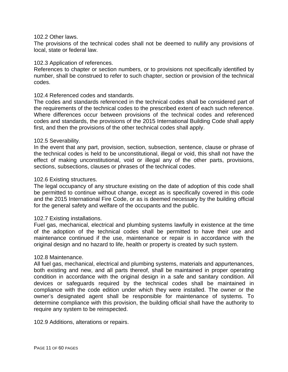#### 102.2 Other laws.

The provisions of the technical codes shall not be deemed to nullify any provisions of local, state or federal law.

#### 102.3 Application of references.

References to chapter or section numbers, or to provisions not specifically identified by number, shall be construed to refer to such chapter, section or provision of the technical codes.

#### 102.4 Referenced codes and standards.

The codes and standards referenced in the technical codes shall be considered part of the requirements of the technical codes to the prescribed extent of each such reference. Where differences occur between provisions of the technical codes and referenced codes and standards, the provisions of the 2015 International Building Code shall apply first, and then the provisions of the other technical codes shall apply.

#### 102.5 Severability.

In the event that any part, provision, section, subsection, sentence, clause or phrase of the technical codes is held to be unconstitutional, illegal or void, this shall not have the effect of making unconstitutional, void or illegal any of the other parts, provisions, sections, subsections, clauses or phrases of the technical codes.

#### 102.6 Existing structures.

The legal occupancy of any structure existing on the date of adoption of this code shall be permitted to continue without change, except as is specifically covered in this code and the 2015 International Fire Code, or as is deemed necessary by the building official for the general safety and welfare of the occupants and the public.

# 102.7 Existing installations.

Fuel gas, mechanical, electrical and plumbing systems lawfully in existence at the time of the adoption of the technical codes shall be permitted to have their use and maintenance continued if the use, maintenance or repair is in accordance with the original design and no hazard to life, health or property is created by such system.

#### 102.8 Maintenance.

All fuel gas, mechanical, electrical and plumbing systems, materials and appurtenances, both existing and new, and all parts thereof, shall be maintained in proper operating condition in accordance with the original design in a safe and sanitary condition. All devices or safeguards required by the technical codes shall be maintained in compliance with the code edition under which they were installed. The owner or the owner's designated agent shall be responsible for maintenance of systems. To determine compliance with this provision, the building official shall have the authority to require any system to be reinspected.

102.9 Additions, alterations or repairs.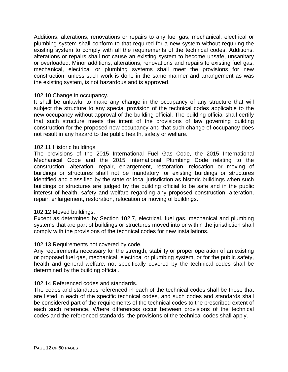Additions, alterations, renovations or repairs to any fuel gas, mechanical, electrical or plumbing system shall conform to that required for a new system without requiring the existing system to comply with all the requirements of the technical codes. Additions, alterations or repairs shall not cause an existing system to become unsafe, unsanitary or overloaded. Minor additions, alterations, renovations and repairs to existing fuel gas, mechanical, electrical or plumbing systems shall meet the provisions for new construction, unless such work is done in the same manner and arrangement as was the existing system, is not hazardous and is approved.

# 102.10 Change in occupancy.

It shall be unlawful to make any change in the occupancy of any structure that will subject the structure to any special provision of the technical codes applicable to the new occupancy without approval of the building official. The building official shall certify that such structure meets the intent of the provisions of law governing building construction for the proposed new occupancy and that such change of occupancy does not result in any hazard to the public health, safety or welfare.

# 102.11 Historic buildings.

The provisions of the 2015 International Fuel Gas Code, the 2015 International Mechanical Code and the 2015 International Plumbing Code relating to the construction, alteration, repair, enlargement, restoration, relocation or moving of buildings or structures shall not be mandatory for existing buildings or structures identified and classified by the state or local jurisdiction as historic buildings when such buildings or structures are judged by the building official to be safe and in the public interest of health, safety and welfare regarding any proposed construction, alteration, repair, enlargement, restoration, relocation or moving of buildings.

# 102.12 Moved buildings.

Except as determined by Section 102.7, electrical, fuel gas, mechanical and plumbing systems that are part of buildings or structures moved into or within the jurisdiction shall comply with the provisions of the technical codes for new installations.

# 102.13 Requirements not covered by code.

Any requirements necessary for the strength, stability or proper operation of an existing or proposed fuel gas, mechanical, electrical or plumbing system, or for the public safety, health and general welfare, not specifically covered by the technical codes shall be determined by the building official.

# 102.14 Referenced codes and standards.

The codes and standards referenced in each of the technical codes shall be those that are listed in each of the specific technical codes, and such codes and standards shall be considered part of the requirements of the technical codes to the prescribed extent of each such reference. Where differences occur between provisions of the technical codes and the referenced standards, the provisions of the technical codes shall apply.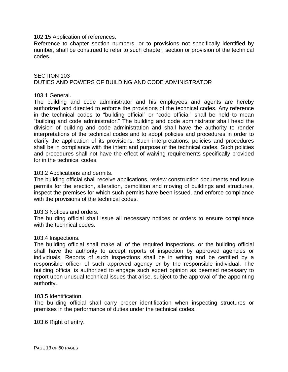102.15 Application of references.

Reference to chapter section numbers, or to provisions not specifically identified by number, shall be construed to refer to such chapter, section or provision of the technical codes.

#### SECTION 103 DUTIES AND POWERS OF BUILDING AND CODE ADMINISTRATOR

# 103.1 General.

The building and code administrator and his employees and agents are hereby authorized and directed to enforce the provisions of the technical codes. Any reference in the technical codes to "building official" or "code official" shall be held to mean "building and code administrator." The building and code administrator shall head the division of building and code administration and shall have the authority to render interpretations of the technical codes and to adopt policies and procedures in order to clarify the application of its provisions. Such interpretations, policies and procedures shall be in compliance with the intent and purpose of the technical codes. Such policies and procedures shall not have the effect of waiving requirements specifically provided for in the technical codes.

#### 103.2 Applications and permits.

The building official shall receive applications, review construction documents and issue permits for the erection, alteration, demolition and moving of buildings and structures, inspect the premises for which such permits have been issued, and enforce compliance with the provisions of the technical codes.

#### 103.3 Notices and orders.

The building official shall issue all necessary notices or orders to ensure compliance with the technical codes.

#### 103.4 Inspections.

The building official shall make all of the required inspections, or the building official shall have the authority to accept reports of inspection by approved agencies or individuals. Reports of such inspections shall be in writing and be certified by a responsible officer of such approved agency or by the responsible individual. The building official is authorized to engage such expert opinion as deemed necessary to report upon unusual technical issues that arise, subject to the approval of the appointing authority.

#### 103.5 Identification.

The building official shall carry proper identification when inspecting structures or premises in the performance of duties under the technical codes.

103.6 Right of entry.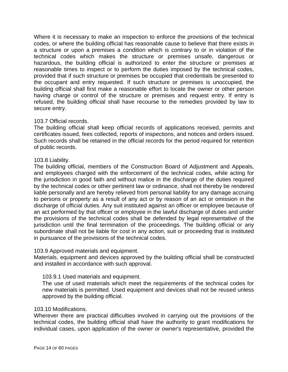Where it is necessary to make an inspection to enforce the provisions of the technical codes, or where the building official has reasonable cause to believe that there exists in a structure or upon a premises a condition which is contrary to or in violation of the technical codes which makes the structure or premises unsafe, dangerous or hazardous, the building official is authorized to enter the structure or premises at reasonable times to inspect or to perform the duties imposed by the technical codes, provided that if such structure or premises be occupied that credentials be presented to the occupant and entry requested. If such structure or premises is unoccupied, the building official shall first make a reasonable effort to locate the owner or other person having charge or control of the structure or premises and request entry. If entry is refused, the building official shall have recourse to the remedies provided by law to secure entry.

# 103.7 Official records.

The building official shall keep official records of applications received, permits and certificates issued, fees collected, reports of inspections, and notices and orders issued. Such records shall be retained in the official records for the period required for retention of public records.

# 103.8 Liability.

The building official, members of the Construction Board of Adjustment and Appeals, and employees charged with the enforcement of the technical codes, while acting for the jurisdiction in good faith and without malice in the discharge of the duties required by the technical codes or other pertinent law or ordinance, shall not thereby be rendered liable personally and are hereby relieved from personal liability for any damage accruing to persons or property as a result of any act or by reason of an act or omission in the discharge of official duties. Any suit instituted against an officer or employee because of an act performed by that officer or employee in the lawful discharge of duties and under the provisions of the technical codes shall be defended by legal representative of the jurisdiction until the final termination of the proceedings. The building official or any subordinate shall not be liable for cost in any action, suit or proceeding that is instituted in pursuance of the provisions of the technical codes.

# 103.9 Approved materials and equipment.

Materials, equipment and devices approved by the building official shall be constructed and installed in accordance with such approval.

# 103.9.1 Used materials and equipment.

The use of used materials which meet the requirements of the technical codes for new materials is permitted. Used equipment and devices shall not be reused unless approved by the building official.

# 103.10 Modifications.

Wherever there are practical difficulties involved in carrying out the provisions of the technical codes, the building official shall have the authority to grant modifications for individual cases, upon application of the owner or owner's representative, provided the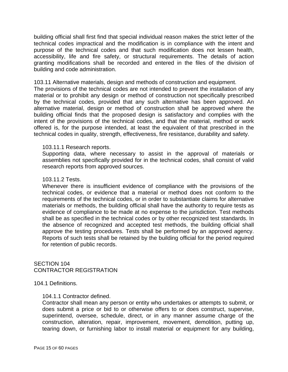building official shall first find that special individual reason makes the strict letter of the technical codes impractical and the modification is in compliance with the intent and purpose of the technical codes and that such modification does not lessen health, accessibility, life and fire safety, or structural requirements. The details of action granting modifications shall be recorded and entered in the files of the division of building and code administration.

# 103.11 Alternative materials, design and methods of construction and equipment.

The provisions of the technical codes are not intended to prevent the installation of any material or to prohibit any design or method of construction not specifically prescribed by the technical codes, provided that any such alternative has been approved. An alternative material, design or method of construction shall be approved where the building official finds that the proposed design is satisfactory and complies with the intent of the provisions of the technical codes, and that the material, method or work offered is, for the purpose intended, at least the equivalent of that prescribed in the technical codes in quality, strength, effectiveness, fire resistance, durability and safety.

# 103.11.1 Research reports.

Supporting data, where necessary to assist in the approval of materials or assemblies not specifically provided for in the technical codes, shall consist of valid research reports from approved sources.

# 103.11.2 Tests.

Whenever there is insufficient evidence of compliance with the provisions of the technical codes, or evidence that a material or method does not conform to the requirements of the technical codes, or in order to substantiate claims for alternative materials or methods, the building official shall have the authority to require tests as evidence of compliance to be made at no expense to the jurisdiction. Test methods shall be as specified in the technical codes or by other recognized test standards. In the absence of recognized and accepted test methods, the building official shall approve the testing procedures. Tests shall be performed by an approved agency. Reports of such tests shall be retained by the building official for the period required for retention of public records.

# SECTION 104 CONTRACTOR REGISTRATION

# 104.1 Definitions.

# 104.1.1 Contractor defined.

Contractor shall mean any person or entity who undertakes or attempts to submit, or does submit a price or bid to or otherwise offers to or does construct, supervise, superintend, oversee, schedule, direct, or in any manner assume charge of the construction, alteration, repair, improvement, movement, demolition, putting up, tearing down, or furnishing labor to install material or equipment for any building,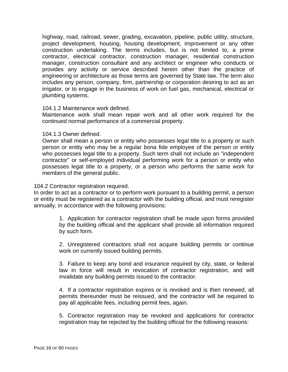highway, road, railroad, sewer, grading, excavation, pipeline, public utility, structure, project development, housing, housing development, improvement or any other construction undertaking. The terms includes, but is not limited to, a prime contractor, electrical contractor, construction manager, residential construction manager, construction consultant and any architect or engineer who conducts or provides any activity or service described herein other than the practice of engineering or architecture as those terms are governed by State law. The term also includes any person, company, firm, partnership or corporation desiring to act as an irrigator, or to engage in the business of work on fuel gas, mechanical, electrical or plumbing systems.

# 104.1.2 Maintenance work defined.

Maintenance work shall mean repair work and all other work required for the continued normal performance of a commercial property.

#### 104.1.3 Owner defined.

Owner shall mean a person or entity who possesses legal title to a property or such person or entity who may be a regular bona fide employee of the person or entity who possesses legal title to a property. Such term shall not include an "independent contractor" or self-employed individual performing work for a person or entity who possesses legal title to a property, or a person who performs the same work for members of the general public.

#### 104.2 Contractor registration required.

In order to act as a contractor or to perform work pursuant to a building permit, a person or entity must be registered as a contractor with the building official, and must reregister annually, in accordance with the following provisions:

> 1. Application for contractor registration shall be made upon forms provided by the building official and the applicant shall provide all information required by such form.

> 2. Unregistered contractors shall not acquire building permits or continue work on currently issued building permits.

> 3. Failure to keep any bond and insurance required by city, state, or federal law in force will result in revocation of contractor registration, and will invalidate any building permits issued to the contractor.

> 4. If a contractor registration expires or is revoked and is then renewed, all permits thereunder must be reissued, and the contractor will be required to pay all applicable fees, including permit fees, again.

> 5. Contractor registration may be revoked and applications for contractor registration may be rejected by the building official for the following reasons: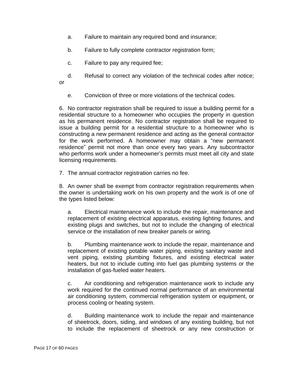- a. Failure to maintain any required bond and insurance;
- b. Failure to fully complete contractor registration form;
- c. Failure to pay any required fee;
- d. Refusal to correct any violation of the technical codes after notice; or
	- e. Conviction of three or more violations of the technical codes.

6. No contractor registration shall be required to issue a building permit for a residential structure to a homeowner who occupies the property in question as his permanent residence. No contractor registration shall be required to issue a building permit for a residential structure to a homeowner who is constructing a new permanent residence and acting as the general contractor for the work performed. A homeowner may obtain a "new permanent residence" permit not more than once every two years. Any subcontractor who performs work under a homeowner's permits must meet all city and state licensing requirements.

7. The annual contractor registration carries no fee.

8. An owner shall be exempt from contractor registration requirements when the owner is undertaking work on his own property and the work is of one of the types listed below:

a. Electrical maintenance work to include the repair, maintenance and replacement of existing electrical apparatus, existing lighting fixtures, and existing plugs and switches, but not to include the changing of electrical service or the installation of new breaker panels or wiring.

b. Plumbing maintenance work to include the repair, maintenance and replacement of existing potable water piping, existing sanitary waste and vent piping, existing plumbing fixtures, and existing electrical water heaters, but not to include cutting into fuel gas plumbing systems or the installation of gas-fueled water heaters.

c. Air conditioning and refrigeration maintenance work to include any work required for the continued normal performance of an environmental air conditioning system, commercial refrigeration system or equipment, or process cooling or heating system.

d. Building maintenance work to include the repair and maintenance of sheetrock, doors, siding, and windows of any existing building, but not to include the replacement of sheetrock or any new construction or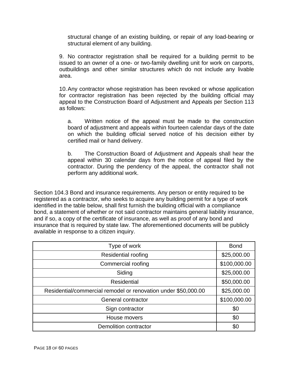structural change of an existing building, or repair of any load-bearing or structural element of any building.

9. No contractor registration shall be required for a building permit to be issued to an owner of a one- or two-family dwelling unit for work on carports, outbuildings and other similar structures which do not include any livable area.

10.Any contractor whose registration has been revoked or whose application for contractor registration has been rejected by the building official may appeal to the Construction Board of Adjustment and Appeals per Section 113 as follows:

a. Written notice of the appeal must be made to the construction board of adjustment and appeals within fourteen calendar days of the date on which the building official served notice of his decision either by certified mail or hand delivery.

b. The Construction Board of Adjustment and Appeals shall hear the appeal within 30 calendar days from the notice of appeal filed by the contractor. During the pendency of the appeal, the contractor shall not perform any additional work.

Section 104.3 Bond and insurance requirements. Any person or entity required to be registered as a contractor, who seeks to acquire any building permit for a type of work identified in the table below, shall first furnish the building official with a compliance bond, a statement of whether or not said contractor maintains general liability insurance, and if so, a copy of the certificate of insurance, as well as proof of any bond and insurance that is required by state law. The aforementioned documents will be publicly available in response to a citizen inquiry.

| Type of work                                                   | <b>Bond</b>  |
|----------------------------------------------------------------|--------------|
| <b>Residential roofing</b>                                     | \$25,000.00  |
| Commercial roofing                                             | \$100,000.00 |
| Siding                                                         | \$25,000.00  |
| <b>Residential</b>                                             | \$50,000.00  |
| Residential/commercial remodel or renovation under \$50,000.00 | \$25,000.00  |
| General contractor                                             | \$100,000.00 |
| Sign contractor                                                | \$0          |
| House movers                                                   | \$0          |
| <b>Demolition contractor</b>                                   | \$0          |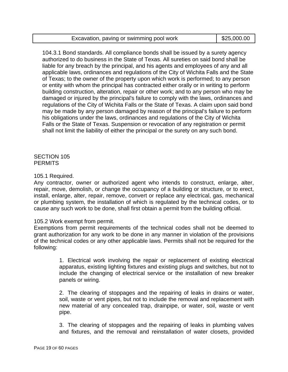|  | Excavation, paving or swimming pool work | \$25,000.00 |
|--|------------------------------------------|-------------|
|  |                                          |             |

104.3.1 Bond standards. All compliance bonds shall be issued by a surety agency authorized to do business in the State of Texas. All sureties on said bond shall be liable for any breach by the principal, and his agents and employees of any and all applicable laws, ordinances and regulations of the City of Wichita Falls and the State of Texas; to the owner of the property upon which work is performed; to any person or entity with whom the principal has contracted either orally or in writing to perform building construction, alteration, repair or other work; and to any person who may be damaged or injured by the principal's failure to comply with the laws, ordinances and regulations of the City of Wichita Falls or the State of Texas. A claim upon said bond may be made by any person damaged by reason of the principal's failure to perform his obligations under the laws, ordinances and regulations of the City of Wichita Falls or the State of Texas. Suspension or revocation of any registration or permit shall not limit the liability of either the principal or the surety on any such bond.

# SECTION 105 PERMITS

# 105.1 Required.

Any contractor, owner or authorized agent who intends to construct, enlarge, alter, repair, move, demolish, or change the occupancy of a building or structure, or to erect, install, enlarge, alter, repair, remove, convert or replace any electrical, gas, mechanical or plumbing system, the installation of which is regulated by the technical codes, or to cause any such work to be done, shall first obtain a permit from the building official.

# 105.2 Work exempt from permit.

Exemptions from permit requirements of the technical codes shall not be deemed to grant authorization for any work to be done in any manner in violation of the provisions of the technical codes or any other applicable laws. Permits shall not be required for the following:

> 1. Electrical work involving the repair or replacement of existing electrical apparatus, existing lighting fixtures and existing plugs and switches, but not to include the changing of electrical service or the installation of new breaker panels or wiring.

> 2. The clearing of stoppages and the repairing of leaks in drains or water, soil, waste or vent pipes, but not to include the removal and replacement with new material of any concealed trap, drainpipe, or water, soil, waste or vent pipe.

> 3. The clearing of stoppages and the repairing of leaks in plumbing valves and fixtures, and the removal and reinstallation of water closets, provided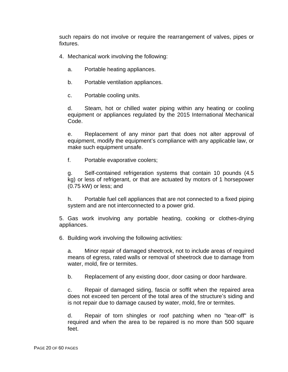such repairs do not involve or require the rearrangement of valves, pipes or fixtures.

- 4. Mechanical work involving the following:
	- a. Portable heating appliances.
	- b. Portable ventilation appliances.
	- c. Portable cooling units.

d. Steam, hot or chilled water piping within any heating or cooling equipment or appliances regulated by the 2015 International Mechanical Code.

e. Replacement of any minor part that does not alter approval of equipment, modify the equipment's compliance with any applicable law, or make such equipment unsafe.

f. Portable evaporative coolers;

g. Self-contained refrigeration systems that contain 10 pounds (4.5 kg) or less of refrigerant, or that are actuated by motors of 1 horsepower (0.75 kW) or less; and

h. Portable fuel cell appliances that are not connected to a fixed piping system and are not interconnected to a power grid.

5. Gas work involving any portable heating, cooking or clothes-drying appliances.

6. Building work involving the following activities:

a. Minor repair of damaged sheetrock, not to include areas of required means of egress, rated walls or removal of sheetrock due to damage from water, mold, fire or termites.

b. Replacement of any existing door, door casing or door hardware.

c. Repair of damaged siding, fascia or soffit when the repaired area does not exceed ten percent of the total area of the structure's siding and is not repair due to damage caused by water, mold, fire or termites.

d. Repair of torn shingles or roof patching when no "tear-off" is required and when the area to be repaired is no more than 500 square feet.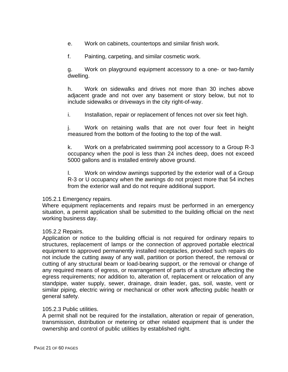- e. Work on cabinets, countertops and similar finish work.
- f. Painting, carpeting, and similar cosmetic work.

g. Work on playground equipment accessory to a one- or two-family dwelling.

h. Work on sidewalks and drives not more than 30 inches above adjacent grade and not over any basement or story below, but not to include sidewalks or driveways in the city right-of-way.

i. Installation, repair or replacement of fences not over six feet high.

j. Work on retaining walls that are not over four feet in height measured from the bottom of the footing to the top of the wall.

k. Work on a prefabricated swimming pool accessory to a Group R-3 occupancy when the pool is less than 24 inches deep, does not exceed 5000 gallons and is installed entirely above ground.

l. Work on window awnings supported by the exterior wall of a Group R-3 or U occupancy when the awnings do not project more that 54 inches from the exterior wall and do not require additional support.

# 105.2.1 Emergency repairs.

Where equipment replacements and repairs must be performed in an emergency situation, a permit application shall be submitted to the building official on the next working business day.

# 105.2.2 Repairs.

Application or notice to the building official is not required for ordinary repairs to structures, replacement of lamps or the connection of approved portable electrical equipment to approved permanently installed receptacles, provided such repairs do not include the cutting away of any wall, partition or portion thereof, the removal or cutting of any structural beam or load-bearing support, or the removal or change of any required means of egress, or rearrangement of parts of a structure affecting the egress requirements; nor addition to, alteration of, replacement or relocation of any standpipe, water supply, sewer, drainage, drain leader, gas, soil, waste, vent or similar piping, electric wiring or mechanical or other work affecting public health or general safety.

# 105.2.3 Public utilities.

A permit shall not be required for the installation, alteration or repair of generation, transmission, distribution or metering or other related equipment that is under the ownership and control of public utilities by established right.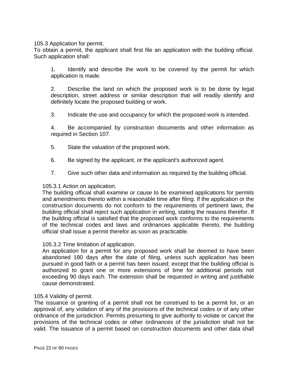105.3 Application for permit.

To obtain a permit, the applicant shall first file an application with the building official. Such application shall:

1. Identify and describe the work to be covered by the permit for which application is made.

2. Describe the land on which the proposed work is to be done by legal description, street address or similar description that will readily identify and definitely locate the proposed building or work.

3. Indicate the use and occupancy for which the proposed work is intended.

4. Be accompanied by construction documents and other information as required in Section 107.

- 5. State the valuation of the proposed work.
- 6. Be signed by the applicant, or the applicant's authorized agent.
- 7. Give such other data and information as required by the building official.

105.3.1 Action on application.

The building official shall examine or cause to be examined applications for permits and amendments thereto within a reasonable time after filing. If the application or the construction documents do not conform to the requirements of pertinent laws, the building official shall reject such application in writing, stating the reasons therefor. If the building official is satisfied that the proposed work conforms to the requirements of the technical codes and laws and ordinances applicable thereto, the building official shall issue a permit therefor as soon as practicable.

# 105.3.2 Time limitation of application.

An application for a permit for any proposed work shall be deemed to have been abandoned 180 days after the date of filing, unless such application has been pursued in good faith or a permit has been issued; except that the building official is authorized to grant one or more extensions of time for additional periods not exceeding 90 days each. The extension shall be requested in writing and justifiable cause demonstrated.

# 105.4 Validity of permit.

The issuance or granting of a permit shall not be construed to be a permit for, or an approval of, any violation of any of the provisions of the technical codes or of any other ordinance of the jurisdiction. Permits presuming to give authority to violate or cancel the provisions of the technical codes or other ordinances of the jurisdiction shall not be valid. The issuance of a permit based on construction documents and other data shall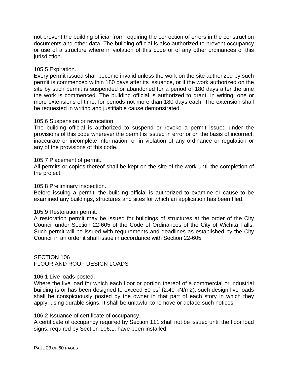not prevent the building official from requiring the correction of errors in the construction documents and other data. The building official is also authorized to prevent occupancy or use of a structure where in violation of this code or of any other ordinances of this jurisdiction.

# 105.5 Expiration.

Every permit issued shall become invalid unless the work on the site authorized by such permit is commenced within 180 days after its issuance, or if the work authorized on the site by such permit is suspended or abandoned for a period of 180 days after the time the work is commenced. The building official is authorized to grant, in writing, one or more extensions of time, for periods not more than 180 days each. The extension shall be requested in writing and justifiable cause demonstrated.

# 105.6 Suspension or revocation.

The building official is authorized to suspend or revoke a permit issued under the provisions of this code wherever the permit is issued in error or on the basis of incorrect, inaccurate or incomplete information, or in violation of any ordinance or regulation or any of the provisions of this code.

# 105.7 Placement of permit.

All permits or copies thereof shall be kept on the site of the work until the completion of the project.

#### 105.8 Preliminary inspection.

Before issuing a permit, the building official is authorized to examine or cause to be examined any buildings, structures and sites for which an application has been filed.

#### 105.9 Restoration permit.

A restoration permit may be issued for buildings of structures at the order of the City Council under Section 22-605 of the Code of Ordinances of the City of Wichita Falls. Such permit will be issued with requirements and deadlines as established by the City Council in an order it shall issue in accordance with Section 22-605.

# SECTION 106 FLOOR AND ROOF DESIGN LOADS

#### 106.1 Live loads posted.

Where the live load for which each floor or portion thereof of a commercial or industrial building is or has been designed to exceed 50 psf (2.40 kN/m2), such design live loads shall be conspicuously posted by the owner in that part of each story in which they apply, using durable signs. It shall be unlawful to remove or deface such notices.

#### 106.2 Issuance of certificate of occupancy.

A certificate of occupancy required by Section 111 shall not be issued until the floor load signs, required by Section 106.1, have been installed.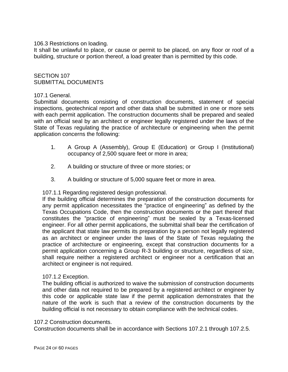106.3 Restrictions on loading.

It shall be unlawful to place, or cause or permit to be placed, on any floor or roof of a building, structure or portion thereof, a load greater than is permitted by this code.

# SECTION 107 SUBMITTAL DOCUMENTS

# 107.1 General.

Submittal documents consisting of construction documents, statement of special inspections, geotechnical report and other data shall be submitted in one or more sets with each permit application. The construction documents shall be prepared and sealed with an official seal by an architect or engineer legally registered under the laws of the State of Texas regulating the practice of architecture or engineering when the permit application concerns the following:

- 1. A Group A (Assembly), Group E (Education) or Group I (Institutional) occupancy of 2,500 square feet or more in area;
- 2. A building or structure of three or more stories; or
- 3. A building or structure of 5,000 square feet or more in area.

# 107.1.1 Regarding registered design professional.

If the building official determines the preparation of the construction documents for any permit application necessitates the "practice of engineering" as defined by the Texas Occupations Code, then the construction documents or the part thereof that constitutes the "practice of engineering" must be sealed by a Texas-licensed engineer. For all other permit applications, the submittal shall bear the certification of the applicant that state law permits its preparation by a person not legally registered as an architect or engineer under the laws of the State of Texas regulating the practice of architecture or engineering, except that construction documents for a permit application concerning a Group R-3 building or structure, regardless of size, shall require neither a registered architect or engineer nor a certification that an architect or engineer is not required.

# 107.1.2 Exception.

The building official is authorized to waive the submission of construction documents and other data not required to be prepared by a registered architect or engineer by this code or applicable state law if the permit application demonstrates that the nature of the work is such that a review of the construction documents by the building official is not necessary to obtain compliance with the technical codes.

# 107.2 Construction documents.

Construction documents shall be in accordance with Sections 107.2.1 through 107.2.5.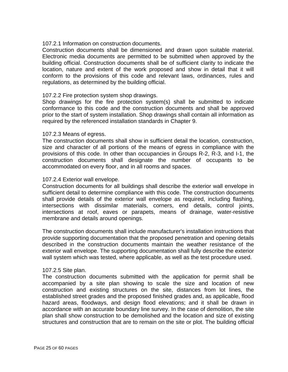# 107.2.1 Information on construction documents.

Construction documents shall be dimensioned and drawn upon suitable material. Electronic media documents are permitted to be submitted when approved by the building official. Construction documents shall be of sufficient clarity to indicate the location, nature and extent of the work proposed and show in detail that it will conform to the provisions of this code and relevant laws, ordinances, rules and regulations, as determined by the building official.

# 107.2.2 Fire protection system shop drawings.

Shop drawings for the fire protection system(s) shall be submitted to indicate conformance to this code and the construction documents and shall be approved prior to the start of system installation. Shop drawings shall contain all information as required by the referenced installation standards in Chapter 9.

# 107.2.3 Means of egress.

The construction documents shall show in sufficient detail the location, construction, size and character of all portions of the means of egress in compliance with the provisions of this code. In other than occupancies in Groups R-2, R-3, and I-1, the construction documents shall designate the number of occupants to be accommodated on every floor, and in all rooms and spaces.

# 107.2.4 Exterior wall envelope.

Construction documents for all buildings shall describe the exterior wall envelope in sufficient detail to determine compliance with this code. The construction documents shall provide details of the exterior wall envelope as required, including flashing, intersections with dissimilar materials, corners, end details, control joints, intersections at roof, eaves or parapets, means of drainage, water-resistive membrane and details around openings.

The construction documents shall include manufacturer's installation instructions that provide supporting documentation that the proposed penetration and opening details described in the construction documents maintain the weather resistance of the exterior wall envelope. The supporting documentation shall fully describe the exterior wall system which was tested, where applicable, as well as the test procedure used.

# 107.2.5 Site plan.

The construction documents submitted with the application for permit shall be accompanied by a site plan showing to scale the size and location of new construction and existing structures on the site, distances from lot lines, the established street grades and the proposed finished grades and, as applicable, flood hazard areas, floodways, and design flood elevations; and it shall be drawn in accordance with an accurate boundary line survey. In the case of demolition, the site plan shall show construction to be demolished and the location and size of existing structures and construction that are to remain on the site or plot. The building official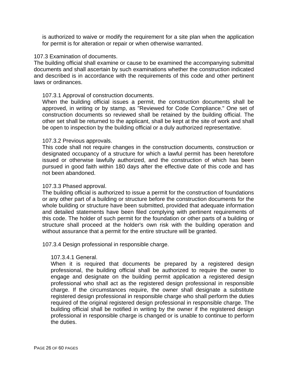is authorized to waive or modify the requirement for a site plan when the application for permit is for alteration or repair or when otherwise warranted.

#### 107.3 Examination of documents.

The building official shall examine or cause to be examined the accompanying submittal documents and shall ascertain by such examinations whether the construction indicated and described is in accordance with the requirements of this code and other pertinent laws or ordinances.

# 107.3.1 Approval of construction documents.

When the building official issues a permit, the construction documents shall be approved, in writing or by stamp, as "Reviewed for Code Compliance." One set of construction documents so reviewed shall be retained by the building official. The other set shall be returned to the applicant, shall be kept at the site of work and shall be open to inspection by the building official or a duly authorized representative.

#### 107.3.2 Previous approvals.

This code shall not require changes in the construction documents, construction or designated occupancy of a structure for which a lawful permit has been heretofore issued or otherwise lawfully authorized, and the construction of which has been pursued in good faith within 180 days after the effective date of this code and has not been abandoned.

#### 107.3.3 Phased approval.

The building official is authorized to issue a permit for the construction of foundations or any other part of a building or structure before the construction documents for the whole building or structure have been submitted, provided that adequate information and detailed statements have been filed complying with pertinent requirements of this code. The holder of such permit for the foundation or other parts of a building or structure shall proceed at the holder's own risk with the building operation and without assurance that a permit for the entire structure will be granted.

107.3.4 Design professional in responsible charge.

#### 107.3.4.1 General.

When it is required that documents be prepared by a registered design professional, the building official shall be authorized to require the owner to engage and designate on the building permit application a registered design professional who shall act as the registered design professional in responsible charge. If the circumstances require, the owner shall designate a substitute registered design professional in responsible charge who shall perform the duties required of the original registered design professional in responsible charge. The building official shall be notified in writing by the owner if the registered design professional in responsible charge is changed or is unable to continue to perform the duties.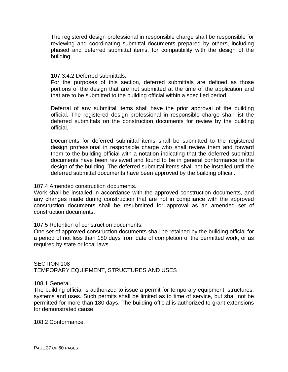The registered design professional in responsible charge shall be responsible for reviewing and coordinating submittal documents prepared by others, including phased and deferred submittal items, for compatibility with the design of the building.

#### 107.3.4.2 Deferred submittals.

For the purposes of this section, deferred submittals are defined as those portions of the design that are not submitted at the time of the application and that are to be submitted to the building official within a specified period.

Deferral of any submittal items shall have the prior approval of the building official. The registered design professional in responsible charge shall list the deferred submittals on the construction documents for review by the building official.

Documents for deferred submittal items shall be submitted to the registered design professional in responsible charge who shall review them and forward them to the building official with a notation indicating that the deferred submittal documents have been reviewed and found to be in general conformance to the design of the building. The deferred submittal items shall not be installed until the deferred submittal documents have been approved by the building official.

#### 107.4 Amended construction documents.

Work shall be installed in accordance with the approved construction documents, and any changes made during construction that are not in compliance with the approved construction documents shall be resubmitted for approval as an amended set of construction documents.

# 107.5 Retention of construction documents.

One set of approved construction documents shall be retained by the building official for a period of not less than 180 days from date of completion of the permitted work, or as required by state or local laws.

SECTION 108 TEMPORARY EQUIPMENT, STRUCTURES AND USES

#### 108.1 General.

The building official is authorized to issue a permit for temporary equipment, structures, systems and uses. Such permits shall be limited as to time of service, but shall not be permitted for more than 180 days. The building official is authorized to grant extensions for demonstrated cause.

108.2 Conformance.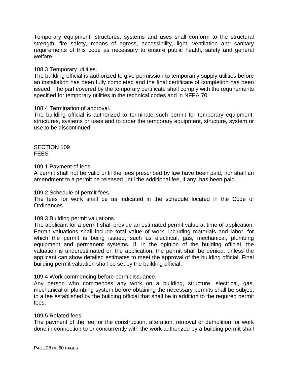Temporary equipment, structures, systems and uses shall conform to the structural strength, fire safety, means of egress, accessibility, light, ventilation and sanitary requirements of this code as necessary to ensure public health, safety and general welfare.

# 108.3 Temporary utilities.

The building official is authorized to give permission to temporarily supply utilities before an installation has been fully completed and the final certificate of completion has been issued. The part covered by the temporary certificate shall comply with the requirements specified for temporary utilities in the technical codes and in NFPA 70.

# 108.4 Termination of approval.

The building official is authorized to terminate such permit for temporary equipment, structures, systems or uses and to order the temporary equipment, structure, system or use to be discontinued.

SECTION 109 FEES

# 109.1 Payment of fees.

A permit shall not be valid until the fees prescribed by law have been paid, nor shall an amendment to a permit be released until the additional fee, if any, has been paid.

# 109.2 Schedule of permit fees.

The fees for work shall be as indicated in the schedule located in the Code of Ordinances.

# 109.3 Building permit valuations.

The applicant for a permit shall provide an estimated permit value at time of application. Permit valuations shall include total value of work, including materials and labor, for which the permit is being issued, such as electrical, gas, mechanical, plumbing equipment and permanent systems. If, in the opinion of the building official, the valuation is underestimated on the application, the permit shall be denied, unless the applicant can show detailed estimates to meet the approval of the building official. Final building permit valuation shall be set by the building official.

# 109.4 Work commencing before permit issuance.

Any person who commences any work on a building, structure, electrical, gas, mechanical or plumbing system before obtaining the necessary permits shall be subject to a fee established by the building official that shall be in addition to the required permit fees.

# 109.5 Related fees.

The payment of the fee for the construction, alteration, removal or demolition for work done in connection to or concurrently with the work authorized by a building permit shall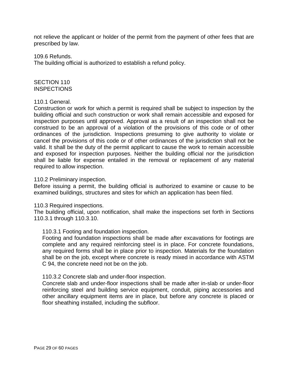not relieve the applicant or holder of the permit from the payment of other fees that are prescribed by law.

109.6 Refunds. The building official is authorized to establish a refund policy.

SECTION 110 **INSPECTIONS** 

# 110.1 General.

Construction or work for which a permit is required shall be subject to inspection by the building official and such construction or work shall remain accessible and exposed for inspection purposes until approved. Approval as a result of an inspection shall not be construed to be an approval of a violation of the provisions of this code or of other ordinances of the jurisdiction. Inspections presuming to give authority to violate or cancel the provisions of this code or of other ordinances of the jurisdiction shall not be valid. It shall be the duty of the permit applicant to cause the work to remain accessible and exposed for inspection purposes. Neither the building official nor the jurisdiction shall be liable for expense entailed in the removal or replacement of any material required to allow inspection.

# 110.2 Preliminary inspection.

Before issuing a permit, the building official is authorized to examine or cause to be examined buildings, structures and sites for which an application has been filed.

# 110.3 Required inspections.

The building official, upon notification, shall make the inspections set forth in Sections 110.3.1 through 110.3.10.

# 110.3.1 Footing and foundation inspection.

Footing and foundation inspections shall be made after excavations for footings are complete and any required reinforcing steel is in place. For concrete foundations, any required forms shall be in place prior to inspection. Materials for the foundation shall be on the job, except where concrete is ready mixed in accordance with ASTM C 94, the concrete need not be on the job.

#### 110.3.2 Concrete slab and under-floor inspection.

Concrete slab and under-floor inspections shall be made after in-slab or under-floor reinforcing steel and building service equipment, conduit, piping accessories and other ancillary equipment items are in place, but before any concrete is placed or floor sheathing installed, including the subfloor.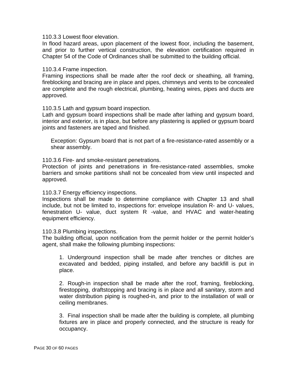110.3.3 Lowest floor elevation.

In flood hazard areas, upon placement of the lowest floor, including the basement, and prior to further vertical construction, the elevation certification required in Chapter 54 of the Code of Ordinances shall be submitted to the building official.

110.3.4 Frame inspection.

Framing inspections shall be made after the roof deck or sheathing, all framing, fireblocking and bracing are in place and pipes, chimneys and vents to be concealed are complete and the rough electrical, plumbing, heating wires, pipes and ducts are approved.

110.3.5 Lath and gypsum board inspection.

Lath and gypsum board inspections shall be made after lathing and gypsum board, interior and exterior, is in place, but before any plastering is applied or gypsum board joints and fasteners are taped and finished.

Exception: Gypsum board that is not part of a fire-resistance-rated assembly or a shear assembly.

110.3.6 Fire- and smoke-resistant penetrations.

Protection of joints and penetrations in fire-resistance-rated assemblies, smoke barriers and smoke partitions shall not be concealed from view until inspected and approved.

# 110.3.7 Energy efficiency inspections.

Inspections shall be made to determine compliance with Chapter 13 and shall include, but not be limited to, inspections for: envelope insulation R- and U- values, fenestration U- value, duct system R -value, and HVAC and water-heating equipment efficiency.

#### 110.3.8 Plumbing inspections.

The building official, upon notification from the permit holder or the permit holder's agent, shall make the following plumbing inspections:

1. Underground inspection shall be made after trenches or ditches are excavated and bedded, piping installed, and before any backfill is put in place.

2. Rough-in inspection shall be made after the roof, framing, fireblocking, firestopping, draftstopping and bracing is in place and all sanitary, storm and water distribution piping is roughed-in, and prior to the installation of wall or ceiling membranes.

3. Final inspection shall be made after the building is complete, all plumbing fixtures are in place and properly connected, and the structure is ready for occupancy.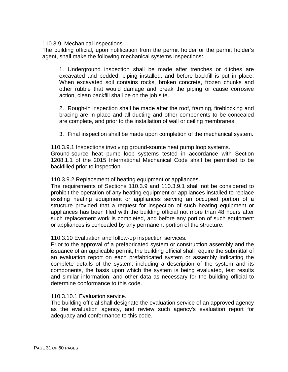110.3.9. Mechanical inspections.

The building official, upon notification from the permit holder or the permit holder's agent, shall make the following mechanical systems inspections:

1. Underground inspection shall be made after trenches or ditches are excavated and bedded, piping installed, and before backfill is put in place. When excavated soil contains rocks, broken concrete, frozen chunks and other rubble that would damage and break the piping or cause corrosive action, clean backfill shall be on the job site.

2. Rough-in inspection shall be made after the roof, framing, fireblocking and bracing are in place and all ducting and other components to be concealed are complete, and prior to the installation of wall or ceiling membranes.

3. Final inspection shall be made upon completion of the mechanical system.

110.3.9.1 Inspections involving ground-source heat pump loop systems. Ground-source heat pump loop systems tested in accordance with Section 1208.1.1 of the 2015 International Mechanical Code shall be permitted to be backfilled prior to inspection.

110.3.9.2 Replacement of heating equipment or appliances.

The requirements of Sections 110.3.9 and 110.3.9.1 shall not be considered to prohibit the operation of any heating equipment or appliances installed to replace existing heating equipment or appliances serving an occupied portion of a structure provided that a request for inspection of such heating equipment or appliances has been filed with the building official not more than 48 hours after such replacement work is completed, and before any portion of such equipment or appliances is concealed by any permanent portion of the structure.

110.3.10 Evaluation and follow-up inspection services.

Prior to the approval of a prefabricated system or construction assembly and the issuance of an applicable permit, the building official shall require the submittal of an evaluation report on each prefabricated system or assembly indicating the complete details of the system, including a description of the system and its components, the basis upon which the system is being evaluated, test results and similar information, and other data as necessary for the building official to determine conformance to this code.

# 110.3.10.1 Evaluation service.

The building official shall designate the evaluation service of an approved agency as the evaluation agency, and review such agency's evaluation report for adequacy and conformance to this code.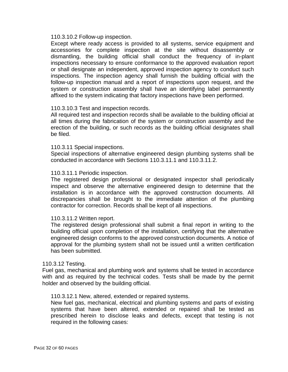#### 110.3.10.2 Follow-up inspection.

Except where ready access is provided to all systems, service equipment and accessories for complete inspection at the site without disassembly or dismantling, the building official shall conduct the frequency of in-plant inspections necessary to ensure conformance to the approved evaluation report or shall designate an independent, approved inspection agency to conduct such inspections. The inspection agency shall furnish the building official with the follow-up inspection manual and a report of inspections upon request, and the system or construction assembly shall have an identifying label permanently affixed to the system indicating that factory inspections have been performed.

# 110.3.10.3 Test and inspection records.

All required test and inspection records shall be available to the building official at all times during the fabrication of the system or construction assembly and the erection of the building, or such records as the building official designates shall be filed.

#### 110.3.11 Special inspections.

Special inspections of alternative engineered design plumbing systems shall be conducted in accordance with Sections 110.3.11.1 and 110.3.11.2.

#### 110.3.11.1 Periodic inspection.

The registered design professional or designated inspector shall periodically inspect and observe the alternative engineered design to determine that the installation is in accordance with the approved construction documents. All discrepancies shall be brought to the immediate attention of the plumbing contractor for correction. Records shall be kept of all inspections.

#### 110.3.11.2 Written report.

The registered design professional shall submit a final report in writing to the building official upon completion of the installation, certifying that the alternative engineered design conforms to the approved construction documents. A notice of approval for the plumbing system shall not be issued until a written certification has been submitted.

#### 110.3.12 Testing.

Fuel gas, mechanical and plumbing work and systems shall be tested in accordance with and as required by the technical codes. Tests shall be made by the permit holder and observed by the building official.

#### 110.3.12.1 New, altered, extended or repaired systems.

New fuel gas, mechanical, electrical and plumbing systems and parts of existing systems that have been altered, extended or repaired shall be tested as prescribed herein to disclose leaks and defects, except that testing is not required in the following cases: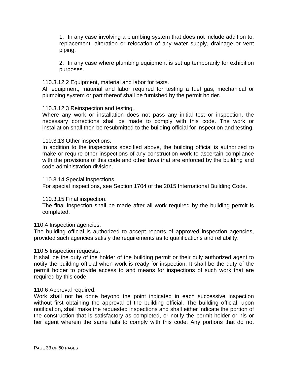1. In any case involving a plumbing system that does not include addition to, replacement, alteration or relocation of any water supply, drainage or vent piping.

2. In any case where plumbing equipment is set up temporarily for exhibition purposes.

110.3.12.2 Equipment, material and labor for tests.

All equipment, material and labor required for testing a fuel gas, mechanical or plumbing system or part thereof shall be furnished by the permit holder.

# 110.3.12.3 Reinspection and testing.

Where any work or installation does not pass any initial test or inspection, the necessary corrections shall be made to comply with this code. The work or installation shall then be resubmitted to the building official for inspection and testing.

# 110.3.13 Other inspections.

In addition to the inspections specified above, the building official is authorized to make or require other inspections of any construction work to ascertain compliance with the provisions of this code and other laws that are enforced by the building and code administration division.

# 110.3.14 Special inspections.

For special inspections, see Section 1704 of the 2015 International Building Code.

# 110.3.15 Final inspection.

The final inspection shall be made after all work required by the building permit is completed.

# 110.4 Inspection agencies.

The building official is authorized to accept reports of approved inspection agencies, provided such agencies satisfy the requirements as to qualifications and reliability.

# 110.5 Inspection requests.

It shall be the duty of the holder of the building permit or their duly authorized agent to notify the building official when work is ready for inspection. It shall be the duty of the permit holder to provide access to and means for inspections of such work that are required by this code.

# 110.6 Approval required.

Work shall not be done beyond the point indicated in each successive inspection without first obtaining the approval of the building official. The building official, upon notification, shall make the requested inspections and shall either indicate the portion of the construction that is satisfactory as completed, or notify the permit holder or his or her agent wherein the same fails to comply with this code. Any portions that do not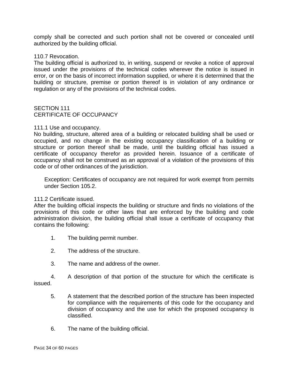comply shall be corrected and such portion shall not be covered or concealed until authorized by the building official.

# 110.7 Revocation.

The building official is authorized to, in writing, suspend or revoke a notice of approval issued under the provisions of the technical codes wherever the notice is issued in error, or on the basis of incorrect information supplied, or where it is determined that the building or structure, premise or portion thereof is in violation of any ordinance or regulation or any of the provisions of the technical codes.

# SECTION 111 CERTIFICATE OF OCCUPANCY

# 111.1 Use and occupancy.

No building, structure, altered area of a building or relocated building shall be used or occupied, and no change in the existing occupancy classification of a building or structure or portion thereof shall be made, until the building official has issued a certificate of occupancy therefor as provided herein. Issuance of a certificate of occupancy shall not be construed as an approval of a violation of the provisions of this code or of other ordinances of the jurisdiction.

Exception: Certificates of occupancy are not required for work exempt from permits under Section 105.2.

# 111.2 Certificate issued.

After the building official inspects the building or structure and finds no violations of the provisions of this code or other laws that are enforced by the building and code administration division, the building official shall issue a certificate of occupancy that contains the following:

- 1. The building permit number.
- 2. The address of the structure.
- 3. The name and address of the owner.

4. A description of that portion of the structure for which the certificate is issued.

- 5. A statement that the described portion of the structure has been inspected for compliance with the requirements of this code for the occupancy and division of occupancy and the use for which the proposed occupancy is classified.
- 6. The name of the building official.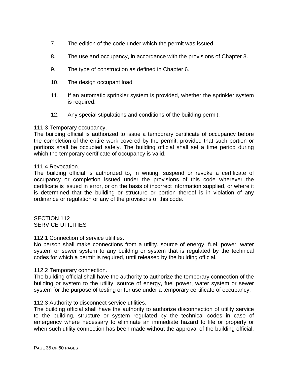- 7. The edition of the code under which the permit was issued.
- 8. The use and occupancy, in accordance with the provisions of Chapter 3.
- 9. The type of construction as defined in Chapter 6.
- 10. The design occupant load.
- 11. If an automatic sprinkler system is provided, whether the sprinkler system is required.
- 12. Any special stipulations and conditions of the building permit.

# 111.3 Temporary occupancy.

The building official is authorized to issue a temporary certificate of occupancy before the completion of the entire work covered by the permit, provided that such portion or portions shall be occupied safely. The building official shall set a time period during which the temporary certificate of occupancy is valid.

# 111.4 Revocation.

The building official is authorized to, in writing, suspend or revoke a certificate of occupancy or completion issued under the provisions of this code wherever the certificate is issued in error, or on the basis of incorrect information supplied, or where it is determined that the building or structure or portion thereof is in violation of any ordinance or regulation or any of the provisions of this code.

# SECTION 112 SERVICE UTILITIES

# 112.1 Connection of service utilities.

No person shall make connections from a utility, source of energy, fuel, power, water system or sewer system to any building or system that is regulated by the technical codes for which a permit is required, until released by the building official.

# 112.2 Temporary connection.

The building official shall have the authority to authorize the temporary connection of the building or system to the utility, source of energy, fuel power, water system or sewer system for the purpose of testing or for use under a temporary certificate of occupancy.

# 112.3 Authority to disconnect service utilities.

The building official shall have the authority to authorize disconnection of utility service to the building, structure or system regulated by the technical codes in case of emergency where necessary to eliminate an immediate hazard to life or property or when such utility connection has been made without the approval of the building official.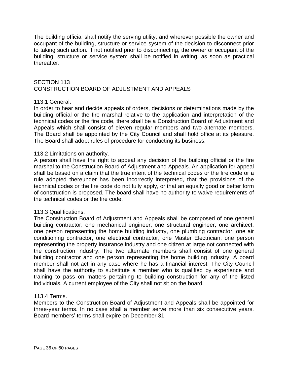The building official shall notify the serving utility, and wherever possible the owner and occupant of the building, structure or service system of the decision to disconnect prior to taking such action. If not notified prior to disconnecting, the owner or occupant of the building, structure or service system shall be notified in writing, as soon as practical thereafter.

# SECTION 113 CONSTRUCTION BOARD OF ADJUSTMENT AND APPEALS

# 113.1 General.

In order to hear and decide appeals of orders, decisions or determinations made by the building official or the fire marshal relative to the application and interpretation of the technical codes or the fire code, there shall be a Construction Board of Adjustment and Appeals which shall consist of eleven regular members and two alternate members. The Board shall be appointed by the City Council and shall hold office at its pleasure. The Board shall adopt rules of procedure for conducting its business.

# 113.2 Limitations on authority.

A person shall have the right to appeal any decision of the building official or the fire marshal to the Construction Board of Adjustment and Appeals. An application for appeal shall be based on a claim that the true intent of the technical codes or the fire code or a rule adopted thereunder has been incorrectly interpreted, that the provisions of the technical codes or the fire code do not fully apply, or that an equally good or better form of construction is proposed. The board shall have no authority to waive requirements of the technical codes or the fire code.

# 113.3 Qualifications.

The Construction Board of Adjustment and Appeals shall be composed of one general building contractor, one mechanical engineer, one structural engineer, one architect, one person representing the home building industry, one plumbing contractor, one air conditioning contractor, one electrical contractor, one Master Electrician, one person representing the property insurance industry and one citizen at large not connected with the construction industry. The two alternate members shall consist of one general building contractor and one person representing the home building industry. A board member shall not act in any case where he has a financial interest. The City Council shall have the authority to substitute a member who is qualified by experience and training to pass on matters pertaining to building construction for any of the listed individuals. A current employee of the City shall not sit on the board.

# 113.4 Terms.

Members to the Construction Board of Adjustment and Appeals shall be appointed for three-year terms. In no case shall a member serve more than six consecutive years. Board members' terms shall expire on December 31.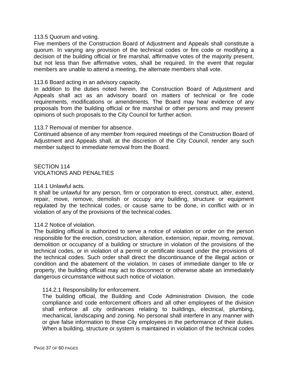#### 113.5 Quorum and voting.

Five members of the Construction Board of Adjustment and Appeals shall constitute a quorum. In varying any provision of the technical codes or fire code or modifying a decision of the building official or fire marshal, affirmative votes of the majority present, but not less than five affirmative votes, shall be required. In the event that regular members are unable to attend a meeting, the alternate members shall vote.

#### 113.6 Board acting in an advisory capacity.

In addition to the duties noted herein, the Construction Board of Adjustment and Appeals shall act as an advisory board on matters of technical or fire code requirements, modifications or amendments. The Board may hear evidence of any proposals from the building official or fire marshal or other persons and may present opinions of such proposals to the City Council for further action.

#### 113.7 Removal of member for absence.

Continued absence of any member from required meetings of the Construction Board of Adjustment and Appeals shall, at the discretion of the City Council, render any such member subject to immediate removal from the Board.

# SECTION 114 VIOLATIONS AND PENALTIES

#### 114.1 Unlawful acts.

It shall be unlawful for any person, firm or corporation to erect, construct, alter, extend, repair, move, remove, demolish or occupy any building, structure or equipment regulated by the technical codes, or cause same to be done, in conflict with or in violation of any of the provisions of the technical codes.

# 114.2 Notice of violation.

The building official is authorized to serve a notice of violation or order on the person responsible for the erection, construction, alteration, extension, repair, moving, removal, demolition or occupancy of a building or structure in violation of the provisions of the technical codes, or in violation of a permit or certificate issued under the provisions of the technical codes. Such order shall direct the discontinuance of the illegal action or condition and the abatement of the violation. In cases of immediate danger to life or property, the building official may act to disconnect or otherwise abate an immediately dangerous circumstance without such notice of violation.

# 114.2.1 Responsibility for enforcement.

The building official, the Building and Code Administration Division, the code compliance and code enforcement officers and all other employees of the division shall enforce all city ordinances relating to buildings, electrical, plumbing, mechanical, landscaping and zoning. No personal shall interfere in any manner with or give false information to these City employees in the performance of their duties. When a building, structure or system is maintained in violation of the technical codes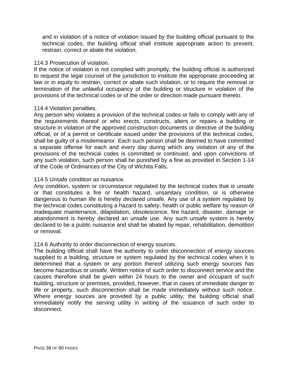and in violation of a notice of violation issued by the building official pursuant to the technical codes, the building official shall institute appropriate action to prevent, restrain, correct or abate the violation.

# 114.3 Prosecution of violation.

If the notice of violation is not complied with promptly, the building official is authorized to request the legal counsel of the jurisdiction to institute the appropriate proceeding at law or in equity to restrain, correct or abate such violation, or to require the removal or termination of the unlawful occupancy of the building or structure in violation of the provisions of the technical codes or of the order or direction made pursuant thereto.

# 114.4 Violation penalties.

Any person who violates a provision of the technical codes or fails to comply with any of the requirements thereof or who erects, constructs, alters or repairs a building or structure in violation of the approved construction documents or directive of the building official, or of a permit or certificate issued under the provisions of the technical codes, shall be guilty of a misdemeanor. Each such person shall be deemed to have committed a separate offense for each and every day during which any violation of any of the provisions of the technical codes is committed or continued, and upon convictions of any such violation, such person shall be punished by a fine as provided in Section 1-14 of the Code of Ordinances of the City of Wichita Falls.

# 114.5 Unsafe condition as nuisance.

Any condition, system or circumstance regulated by the technical codes that is unsafe or that constitutes a fire or health hazard, unsanitary condition, or is otherwise dangerous to human life is hereby declared unsafe. Any use of a system regulated by the technical codes constituting a hazard to safety, health or public welfare by reason of inadequate maintenance, dilapidation, obsolescence, fire hazard, disaster, damage or abandonment is hereby declared an unsafe use. Any such unsafe system is hereby declared to be a public nuisance and shall be abated by repair, rehabilitation, demolition or removal.

# 114.6 Authority to order disconnection of energy sources.

The building official shall have the authority to order disconnection of energy sources supplied to a building, structure or system regulated by the technical codes when it is determined that a system or any portion thereof utilizing such energy sources has become hazardous or unsafe. Written notice of such order to disconnect service and the causes therefore shall be given within 24 hours to the owner and occupant of such building, structure or premises, provided, however, that in cases of immediate danger to life or property, such disconnection shall be made immediately without such notice. Where energy sources are provided by a public utility, the building official shall immediately notify the serving utility in writing of the issuance of such order to disconnect.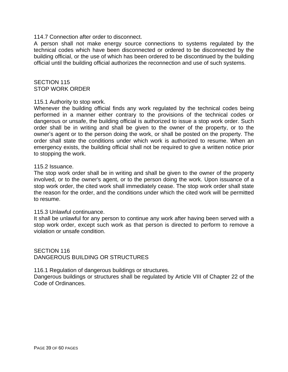# 114.7 Connection after order to disconnect.

A person shall not make energy source connections to systems regulated by the technical codes which have been disconnected or ordered to be disconnected by the building official, or the use of which has been ordered to be discontinued by the building official until the building official authorizes the reconnection and use of such systems.

# SECTION 115 STOP WORK ORDER

# 115.1 Authority to stop work.

Whenever the building official finds any work regulated by the technical codes being performed in a manner either contrary to the provisions of the technical codes or dangerous or unsafe, the building official is authorized to issue a stop work order. Such order shall be in writing and shall be given to the owner of the property, or to the owner's agent or to the person doing the work, or shall be posted on the property. The order shall state the conditions under which work is authorized to resume. When an emergency exists, the building official shall not be required to give a written notice prior to stopping the work.

#### 115.2 Issuance.

The stop work order shall be in writing and shall be given to the owner of the property involved, or to the owner's agent, or to the person doing the work. Upon issuance of a stop work order, the cited work shall immediately cease. The stop work order shall state the reason for the order, and the conditions under which the cited work will be permitted to resume.

# 115.3 Unlawful continuance.

It shall be unlawful for any person to continue any work after having been served with a stop work order, except such work as that person is directed to perform to remove a violation or unsafe condition.

SECTION 116 DANGEROUS BUILDING OR STRUCTURES

116.1 Regulation of dangerous buildings or structures.

Dangerous buildings or structures shall be regulated by Article VIII of Chapter 22 of the Code of Ordinances.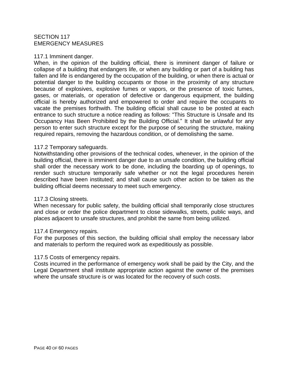# SECTION 117 EMERGENCY MEASURES

# 117.1 Imminent danger.

When, in the opinion of the building official, there is imminent danger of failure or collapse of a building that endangers life, or when any building or part of a building has fallen and life is endangered by the occupation of the building, or when there is actual or potential danger to the building occupants or those in the proximity of any structure because of explosives, explosive fumes or vapors, or the presence of toxic fumes, gases, or materials, or operation of defective or dangerous equipment, the building official is hereby authorized and empowered to order and require the occupants to vacate the premises forthwith. The building official shall cause to be posted at each entrance to such structure a notice reading as follows: "This Structure is Unsafe and Its Occupancy Has Been Prohibited by the Building Official." It shall be unlawful for any person to enter such structure except for the purpose of securing the structure, making required repairs, removing the hazardous condition, or of demolishing the same.

# 117.2 Temporary safeguards.

Notwithstanding other provisions of the technical codes, whenever, in the opinion of the building official, there is imminent danger due to an unsafe condition, the building official shall order the necessary work to be done, including the boarding up of openings, to render such structure temporarily safe whether or not the legal procedures herein described have been instituted; and shall cause such other action to be taken as the building official deems necessary to meet such emergency.

# 117.3 Closing streets.

When necessary for public safety, the building official shall temporarily close structures and close or order the police department to close sidewalks, streets, public ways, and places adjacent to unsafe structures, and prohibit the same from being utilized.

# 117.4 Emergency repairs.

For the purposes of this section, the building official shall employ the necessary labor and materials to perform the required work as expeditiously as possible.

# 117.5 Costs of emergency repairs.

Costs incurred in the performance of emergency work shall be paid by the City, and the Legal Department shall institute appropriate action against the owner of the premises where the unsafe structure is or was located for the recovery of such costs.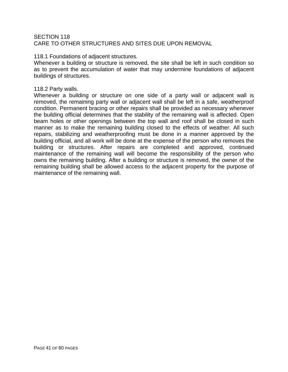# SECTION 118 CARE TO OTHER STRUCTURES AND SITES DUE UPON REMOVAL

# 118.1 Foundations of adjacent structures.

Whenever a building or structure is removed, the site shall be left in such condition so as to prevent the accumulation of water that may undermine foundations of adjacent buildings of structures.

#### 118.2 Party walls.

Whenever a building or structure on one side of a party wall or adjacent wall is removed, the remaining party wall or adjacent wall shall be left in a safe, weatherproof condition. Permanent bracing or other repairs shall be provided as necessary whenever the building official determines that the stability of the remaining wall is affected. Open beam holes or other openings between the top wall and roof shall be closed in such manner as to make the remaining building closed to the effects of weather. All such repairs, stabilizing and weatherproofing must be done in a manner approved by the building official, and all work will be done at the expense of the person who removes the building or structures. After repairs are completed and approved, continued maintenance of the remaining wall will become the responsibility of the person who owns the remaining building. After a building or structure is removed, the owner of the remaining building shall be allowed access to the adjacent property for the purpose of maintenance of the remaining wall.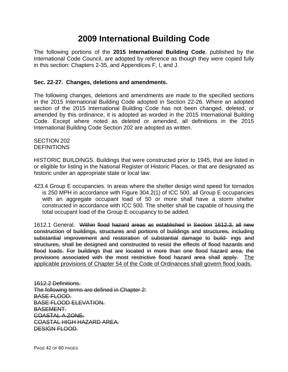# **2009 International Building Code**

The following portions of the **2015 International Building Code**, published by the International Code Council, are adopted by reference as though they were copied fully in this section: Chapters 2-35, and Appendices F, I, and J.

# **Sec. 22-27. Changes, deletions and amendments.**

The following changes, deletions and amendments are made to the specified sections in the 2015 International Building Code adopted in Section 22-26. Where an adopted section of the 2015 International Building Code has not been changed, deleted, or amended by this ordinance, it is adopted as worded in the 2015 International Building Code. Except where noted as deleted or amended, all definitions in the 2015 International Building Code Section 202 are adopted as written.

SECTION 202 **DEFINITIONS** 

HISTORIC BUILDINGS. Buildings that were constructed prior to 1945, that are listed in or eligible for listing in the National Register of Historic Places, or that are designated as historic under an appropriate state or local law.

423.4 Group E occupancies. In areas where the shelter design wind speed for tornados is 250 MPH in accordance with Figure 304.2(1) of ICC 500, all Group E occupancies with an aggregate occupant load of 50 or more shall have a storm shelter constructed in accordance with ICC 500. The shelter shall be capable of housing the total occupant load of the Group E occupancy to be added.

1612.1 General. Within flood hazard areas as established in Section 1612.3, all new construction of buildings, structures and portions of buildings and structures, including substantial improvement and restoration of substantial damage to build- ings and structures, shall be designed and constructed to resist the effects of flood hazards and flood loads. For buildings that are located in more than one flood hazard area, the provisions associated with the most restrictive flood hazard area shall apply. The applicable provisions of Chapter 54 of the Code of Ordinances shall govern flood loads.

1612.2 Definitions. The following terms are defined in Chapter 2: BASE FLOOD. BASE FLOOD ELEVATION. BASEMENT. COASTAL A ZONE. COASTAL HIGH HAZARD AREA. DESIGN FLOOD.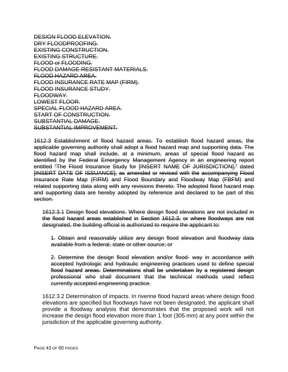DESIGN FLOOD ELEVATION. DRY FLOODPROOFING. EXISTING CONSTRUCTION. EXISTING STRUCTURE. FLOOD or FLOODING. FLOOD DAMAGE-RESISTANT MATERIALS. FLOOD HAZARD AREA. FLOOD INSURANCE RATE MAP (FIRM). FLOOD INSURANCE STUDY. FLOODWAY. LOWEST FLOOR. SPECIAL FLOOD HAZARD AREA. START OF CONSTRUCTION. SUBSTANTIAL DAMAGE. SUBSTANTIAL IMPROVEMENT.

1612.3 Establishment of flood hazard areas. To establish flood hazard areas, the applicable governing authority shall adopt a flood hazard map and supporting data. The flood hazard map shall include, at a minimum, areas of special flood hazard as identified by the Federal Emergency Management Agency in an engineering report entitled "The Flood Insurance Study for [INSERT NAME OF JURISDICTION]," dated [INSERT DATE OF ISSUANCE], as amended or revised with the accompanying Flood Insurance Rate Map (FIRM) and Flood Boundary and Floodway Map (FBFM) and related supporting data along with any revisions thereto. The adopted flood hazard map and supporting data are hereby adopted by reference and declared to be part of this section.

1612.3.1 Design flood elevations. Where design flood elevations are not included in the flood hazard areas established in Section 1612.3, or where floodways are not designated, the building official is authorized to require the applicant to:

1. Obtain and reasonably utilize any design flood elevation and floodway data available from a federal, state or other source; or

2. Determine the design flood elevation and/or flood- way in accordance with accepted hydrologic and hydraulic engineering practices used to define special flood hazard areas. Determinations shall be undertaken by a registered design professional who shall document that the technical methods used reflect currently accepted engineering practice.

1612.3.2 Determination of impacts. In riverine flood hazard areas where design flood elevations are specified but floodways have not been designated, the applicant shall provide a floodway analysis that demonstrates that the proposed work will not increase the design flood elevation more than 1 foot (305 mm) at any point within the jurisdiction of the applicable governing authority.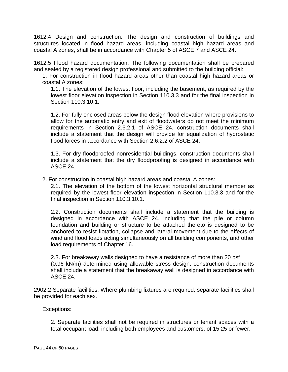1612.4 Design and construction. The design and construction of buildings and structures located in flood hazard areas, including coastal high hazard areas and coastal A zones, shall be in accordance with Chapter 5 of ASCE 7 and ASCE 24.

1612.5 Flood hazard documentation. The following documentation shall be prepared and sealed by a registered design professional and submitted to the building official:

1. For construction in flood hazard areas other than coastal high hazard areas or coastal A zones:

1.1. The elevation of the lowest floor, including the basement, as required by the lowest floor elevation inspection in Section 110.3.3 and for the final inspection in Section 110.3.10.1.

1.2. For fully enclosed areas below the design flood elevation where provisions to allow for the automatic entry and exit of floodwaters do not meet the minimum requirements in Section 2.6.2.1 of ASCE 24, construction documents shall include a statement that the design will provide for equalization of hydrostatic flood forces in accordance with Section 2.6.2.2 of ASCE 24.

1.3. For dry floodproofed nonresidential buildings, construction documents shall include a statement that the dry floodproofing is designed in accordance with ASCE 24.

2. For construction in coastal high hazard areas and coastal A zones:

2.1. The elevation of the bottom of the lowest horizontal structural member as required by the lowest floor elevation inspection in Section 110.3.3 and for the final inspection in Section 110.3.10.1.

2.2. Construction documents shall include a statement that the building is designed in accordance with ASCE 24, including that the pile or column foundation and building or structure to be attached thereto is designed to be anchored to resist flotation, collapse and lateral movement due to the effects of wind and flood loads acting simultaneously on all building components, and other load requirements of Chapter 16.

2.3. For breakaway walls designed to have a resistance of more than 20 psf (0.96 kN/m) determined using allowable stress design, construction documents shall include a statement that the breakaway wall is designed in accordance with ASCE 24.

2902.2 Separate facilities. Where plumbing fixtures are required, separate facilities shall be provided for each sex.

Exceptions:

2. Separate facilities shall not be required in structures or tenant spaces with a total occupant load, including both employees and customers, of 15 25 or fewer.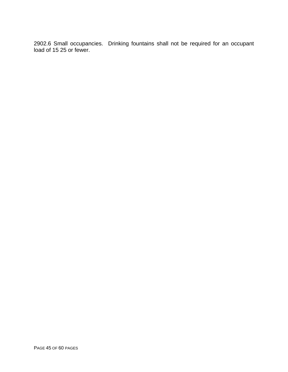2902.6 Small occupancies. Drinking fountains shall not be required for an occupant load of 15 25 or fewer.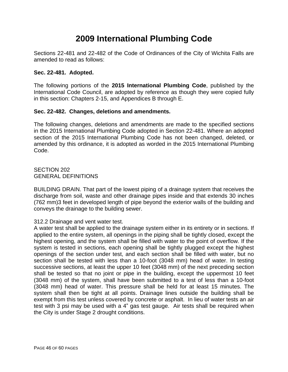# **2009 International Plumbing Code**

Sections 22-481 and 22-482 of the Code of Ordinances of the City of Wichita Falls are amended to read as follows:

# **Sec. 22-481. Adopted.**

The following portions of the **2015 International Plumbing Code**, published by the International Code Council, are adopted by reference as though they were copied fully in this section: Chapters 2-15, and Appendices B through E.

# **Sec. 22-482. Changes, deletions and amendments.**

The following changes, deletions and amendments are made to the specified sections in the 2015 International Plumbing Code adopted in Section 22-481. Where an adopted section of the 2015 International Plumbing Code has not been changed, deleted, or amended by this ordinance, it is adopted as worded in the 2015 International Plumbing Code.

# SECTION 202 GENERAL DEFINITIONS

BUILDING DRAIN. That part of the lowest piping of a drainage system that receives the discharge from soil, waste and other drainage pipes inside and that extends 30 inches (762 mm)3 feet in developed length of pipe beyond the exterior walls of the building and conveys the drainage to the building sewer.

# 312.2 Drainage and vent water test.

A water test shall be applied to the drainage system either in its entirety or in sections. If applied to the entire system, all openings in the piping shall be tightly closed, except the highest opening, and the system shall be filled with water to the point of overflow. If the system is tested in sections, each opening shall be tightly plugged except the highest openings of the section under test, and each section shall be filled with water, but no section shall be tested with less than a 10-foot (3048 mm) head of water. In testing successive sections, at least the upper 10 feet (3048 mm) of the next preceding section shall be tested so that no joint or pipe in the building, except the uppermost 10 feet (3048 mm) of the system, shall have been submitted to a test of less than a 10-foot (3048 mm) head of water. This pressure shall be held for at least 15 minutes. The system shall then be tight at all points. Drainage lines outside the building shall be exempt from this test unless covered by concrete or asphalt. In lieu of water tests an air test with 3 psi may be used with a 4" gas test gauge. Air tests shall be required when the City is under Stage 2 drought conditions.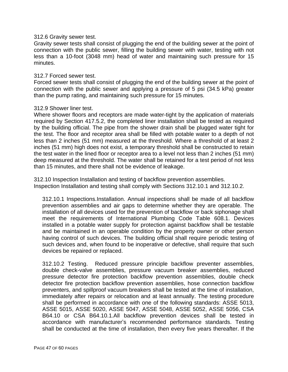# 312.6 Gravity sewer test.

Gravity sewer tests shall consist of plugging the end of the building sewer at the point of connection with the public sewer, filling the building sewer with water, testing with not less than a 10-foot (3048 mm) head of water and maintaining such pressure for 15 minutes.

#### 312.7 Forced sewer test.

Forced sewer tests shall consist of plugging the end of the building sewer at the point of connection with the public sewer and applying a pressure of 5 psi (34.5 kPa) greater than the pump rating, and maintaining such pressure for 15 minutes.

#### 312.9 Shower liner test.

Where shower floors and receptors are made water-tight by the application of materials required by Section 417.5.2, the completed liner installation shall be tested as required by the building official. The pipe from the shower drain shall be plugged water tight for the test. The floor and receptor area shall be filled with potable water to a depth of not less than 2 inches (51 mm) measured at the threshold. Where a threshold of at least 2 inches (51 mm) high does not exist, a temporary threshold shall be constructed to retain the test water in the lined floor or receptor area to a level not less than 2 inches (51 mm) deep measured at the threshold. The water shall be retained for a test period of not less than 15 minutes, and there shall not be evidence of leakage.

312.10 Inspection Installation and testing of backflow prevention assemblies. Inspection Installation and testing shall comply with Sections 312.10.1 and 312.10.2.

312.10.1 Inspections.Installation. Annual inspections shall be made of all backflow prevention assemblies and air gaps to determine whether they are operable. The installation of all devices used for the prevention of backflow or back siphonage shall meet the requirements of International Plumbing Code Table 608.1. Devices installed in a potable water supply for protection against backflow shall be testable and be maintained in an operable condition by the property owner or other person having control of such devices. The building official shall require periodic testing of such devices and, when found to be inoperative or defective, shall require that such devices be repaired or replaced.

312.10.2 Testing. Reduced pressure principle backflow preventer assemblies, double check-valve assemblies, pressure vacuum breaker assemblies, reduced pressure detector fire protection backflow prevention assemblies, double check detector fire protection backflow prevention assemblies, hose connection backflow preventers, and spillproof vacuum breakers shall be tested at the time of installation, immediately after repairs or relocation and at least annually. The testing procedure shall be performed in accordance with one of the following standards: ASSE 5013, ASSE 5015, ASSE 5020, ASSE 5047, ASSE 5048, ASSE 5052, ASSE 5056, CSA B64.10 or CSA B64.10.1.All backflow prevention devices shall be tested in accordance with manufacturer's recommended performance standards. Testing shall be conducted at the time of installation, then every five years thereafter. If the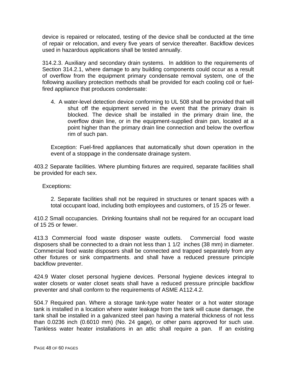device is repaired or relocated, testing of the device shall be conducted at the time of repair or relocation, and every five years of service thereafter. Backflow devices used in hazardous applications shall be tested annually.

314.2.3. Auxiliary and secondary drain systems. In addition to the requirements of Section 314.2.1, where damage to any building components could occur as a result of overflow from the equipment primary condensate removal system, one of the following auxiliary protection methods shall be provided for each cooling coil or fuelfired appliance that produces condensate:

4. A water-level detection device conforming to UL 508 shall be provided that will shut off the equipment served in the event that the primary drain is blocked. The device shall be installed in the primary drain line, the overflow drain line, or in the equipment-supplied drain pan, located at a point higher than the primary drain line connection and below the overflow rim of such pan.

Exception: Fuel-fired appliances that automatically shut down operation in the event of a stoppage in the condensate drainage system.

403.2 Separate facilities. Where plumbing fixtures are required, separate facilities shall be provided for each sex.

Exceptions:

2. Separate facilities shall not be required in structures or tenant spaces with a total occupant load, including both employees and customers, of 15 25 or fewer.

410.2 Small occupancies. Drinking fountains shall not be required for an occupant load of 15 25 or fewer.

413.3 Commercial food waste disposer waste outlets. Commercial food waste disposers shall be connected to a drain not less than 1 1/2 inches (38 mm) in diameter. Commercial food waste disposers shall be connected and trapped separately from any other fixtures or sink compartments. and shall have a reduced pressure principle backflow preventer.

424.9 Water closet personal hygiene devices. Personal hygiene devices integral to water closets or water closet seats shall have a reduced pressure principle backflow preventer and shall conform to the requirements of ASME A112.4.2.

504.7 Required pan. Where a storage tank-type water heater or a hot water storage tank is installed in a location where water leakage from the tank will cause damage, the tank shall be installed in a galvanized steel pan having a material thickness of not less than 0.0236 inch (0.6010 mm) (No. 24 gage), or other pans approved for such use. Tankless water heater installations in an attic shall require a pan. If an existing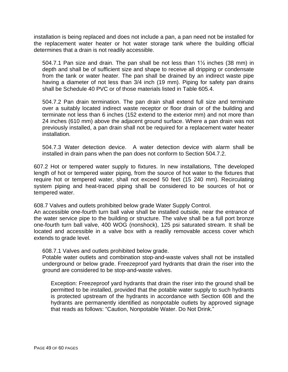installation is being replaced and does not include a pan, a pan need not be installed for the replacement water heater or hot water storage tank where the building official determines that a drain is not readily accessible.

504.7.1 Pan size and drain. The pan shall be not less than 1½ inches (38 mm) in depth and shall be of sufficient size and shape to receive all dripping or condensate from the tank or water heater. The pan shall be drained by an indirect waste pipe having a diameter of not less than 3/4 inch (19 mm). Piping for safety pan drains shall be Schedule 40 PVC or of those materials listed in Table 605.4.

504.7.2 Pan drain termination. The pan drain shall extend full size and terminate over a suitably located indirect waste receptor or floor drain or of the building and terminate not less than 6 inches (152 extend to the exterior mm) and not more than 24 inches (610 mm) above the adjacent ground surface. Where a pan drain was not previously installed, a pan drain shall not be required for a replacement water heater installation.

504.7.3 Water detection device. A water detection device with alarm shall be installed in drain pans when the pan does not conform to Section 504.7.2.

607.2 Hot or tempered water supply to fixtures. In new installations, Tthe developed length of hot or tempered water piping, from the source of hot water to the fixtures that require hot or tempered water, shall not exceed 50 feet (15 240 mm). Recirculating system piping and heat-traced piping shall be considered to be sources of hot or tempered water.

608.7 Valves and outlets prohibited below grade Water Supply Control.

An accessible one-fourth turn ball valve shall be installed outside, near the entrance of the water service pipe to the building or structure. The valve shall be a full port bronze one-fourth turn ball valve, 400 WOG (nonshock), 125 psi saturated stream. It shall be located and accessible in a valve box with a readily removable access cover which extends to grade level.

608.7.1 Valves and outlets prohibited below grade.

Potable water outlets and combination stop-and-waste valves shall not be installed underground or below grade. Freezeproof yard hydrants that drain the riser into the ground are considered to be stop-and-waste valves.

Exception: Freezeproof yard hydrants that drain the riser into the ground shall be permitted to be installed, provided that the potable water supply to such hydrants is protected upstream of the hydrants in accordance with Section 608 and the hydrants are permanently identified as nonpotable outlets by approved signage that reads as follows: "Caution, Nonpotable Water. Do Not Drink."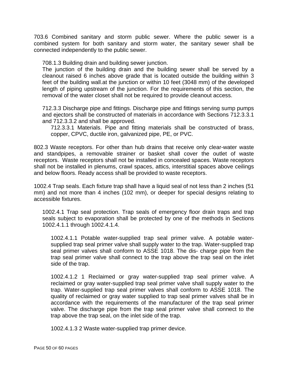703.6 Combined sanitary and storm public sewer. Where the public sewer is a combined system for both sanitary and storm water, the sanitary sewer shall be connected independently to the public sewer.

708.1.3 Building drain and building sewer junction.

The junction of the building drain and the building sewer shall be served by a cleanout raised 6 inches above grade that is located outside the building within 3 feet of the building wall.at the junction or within 10 feet (3048 mm) of the developed length of piping upstream of the junction. For the requirements of this section, the removal of the water closet shall not be required to provide cleanout access.

712.3.3 Discharge pipe and fittings. Discharge pipe and fittings serving sump pumps and ejectors shall be constructed of materials in accordance with Sections 712.3.3.1 and 712.3.3.2 and shall be approved.

712.3.3.1 Materials. Pipe and fitting materials shall be constructed of brass, copper, CPVC, ductile iron, galvanized pipe, PE, or PVC.

802.3 Waste receptors. For other than hub drains that receive only clear-water waste and standpipes, a removable strainer or basket shall cover the outlet of waste receptors. Waste receptors shall not be installed in concealed spaces. Waste receptors shall not be installed in plenums, crawl spaces, attics, interstitial spaces above ceilings and below floors. Ready access shall be provided to waste receptors.

1002.4 Trap seals. Each fixture trap shall have a liquid seal of not less than 2 inches (51 mm) and not more than 4 inches (102 mm), or deeper for special designs relating to accessible fixtures.

1002.4.1 Trap seal protection. Trap seals of emergency floor drain traps and trap seals subject to evaporation shall be protected by one of the methods in Sections 1002.4.1.1 through 1002.4.1.4.

1002.4.1.1 Potable water-supplied trap seal primer valve. A potable watersupplied trap seal primer valve shall supply water to the trap. Water-supplied trap seal primer valves shall conform to ASSE 1018. The dis- charge pipe from the trap seal primer valve shall connect to the trap above the trap seal on the inlet side of the trap.

1002.4.1.2 1 Reclaimed or gray water-supplied trap seal primer valve. A reclaimed or gray water-supplied trap seal primer valve shall supply water to the trap. Water-supplied trap seal primer valves shall conform to ASSE 1018. The quality of reclaimed or gray water supplied to trap seal primer valves shall be in accordance with the requirements of the manufacturer of the trap seal primer valve. The discharge pipe from the trap seal primer valve shall connect to the trap above the trap seal, on the inlet side of the trap.

1002.4.1.3 2 Waste water-supplied trap primer device.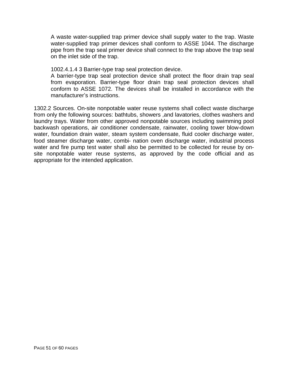A waste water-supplied trap primer device shall supply water to the trap. Waste water-supplied trap primer devices shall conform to ASSE 1044. The discharge pipe from the trap seal primer device shall connect to the trap above the trap seal on the inlet side of the trap.

1002.4.1.4 3 Barrier-type trap seal protection device.

A barrier-type trap seal protection device shall protect the floor drain trap seal from evaporation. Barrier-type floor drain trap seal protection devices shall conform to ASSE 1072. The devices shall be installed in accordance with the manufacturer's instructions.

1302.2 Sources. On-site nonpotable water reuse systems shall collect waste discharge from only the following sources: bathtubs, showers ,and lavatories, clothes washers and laundry trays. Water from other approved nonpotable sources including swimming pool backwash operations, air conditioner condensate, rainwater, cooling tower blow-down water, foundation drain water, steam system condensate, fluid cooler discharge water, food steamer discharge water, combi- nation oven discharge water, industrial process water and fire pump test water shall also be permitted to be collected for reuse by onsite nonpotable water reuse systems, as approved by the code official and as appropriate for the intended application.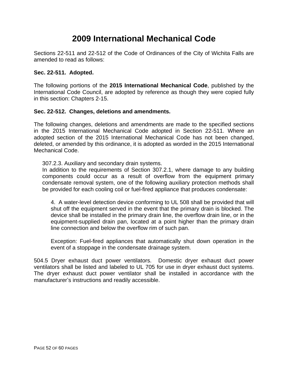# **2009 International Mechanical Code**

Sections 22-511 and 22-512 of the Code of Ordinances of the City of Wichita Falls are amended to read as follows:

# **Sec. 22-511. Adopted.**

The following portions of the **2015 International Mechanical Code**, published by the International Code Council, are adopted by reference as though they were copied fully in this section: Chapters 2-15.

# **Sec. 22-512. Changes, deletions and amendments.**

The following changes, deletions and amendments are made to the specified sections in the 2015 International Mechanical Code adopted in Section 22-511. Where an adopted section of the 2015 International Mechanical Code has not been changed, deleted, or amended by this ordinance, it is adopted as worded in the 2015 International Mechanical Code.

307.2.3. Auxiliary and secondary drain systems.

In addition to the requirements of Section 307.2.1, where damage to any building components could occur as a result of overflow from the equipment primary condensate removal system, one of the following auxiliary protection methods shall be provided for each cooling coil or fuel-fired appliance that produces condensate:

4. A water-level detection device conforming to UL 508 shall be provided that will shut off the equipment served in the event that the primary drain is blocked. The device shall be installed in the primary drain line, the overflow drain line, or in the equipment-supplied drain pan, located at a point higher than the primary drain line connection and below the overflow rim of such pan.

Exception: Fuel-fired appliances that automatically shut down operation in the event of a stoppage in the condensate drainage system.

504.5 Dryer exhaust duct power ventilators. Domestic dryer exhaust duct power ventilators shall be listed and labeled to UL 705 for use in dryer exhaust duct systems. The dryer exhaust duct power ventilator shall be installed in accordance with the manufacturer's instructions and readily accessible.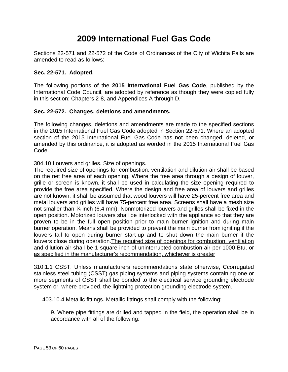# **2009 International Fuel Gas Code**

Sections 22-571 and 22-572 of the Code of Ordinances of the City of Wichita Falls are amended to read as follows:

# **Sec. 22-571. Adopted.**

The following portions of the **2015 International Fuel Gas Code**, published by the International Code Council, are adopted by reference as though they were copied fully in this section: Chapters 2-8, and Appendices A through D.

# **Sec. 22-572. Changes, deletions and amendments.**

The following changes, deletions and amendments are made to the specified sections in the 2015 International Fuel Gas Code adopted in Section 22-571. Where an adopted section of the 2015 International Fuel Gas Code has not been changed, deleted, or amended by this ordinance, it is adopted as worded in the 2015 International Fuel Gas Code.

304.10 Louvers and grilles. Size of openings.

The required size of openings for combustion, ventilation and dilution air shall be based on the net free area of each opening. Where the free area through a design of louver, grille or screen is known, it shall be used in calculating the size opening required to provide the free area specified. Where the design and free area of louvers and grilles are not known, it shall be assumed that wood louvers will have 25-percent free area and metal louvers and grilles will have 75-percent free area. Screens shall have a mesh size not smaller than ¼ inch (6.4 mm). Nonmotorized louvers and grilles shall be fixed in the open position. Motorized louvers shall be interlocked with the appliance so that they are proven to be in the full open position prior to main burner ignition and during main burner operation. Means shall be provided to prevent the main burner from igniting if the louvers fail to open during burner start-up and to shut down the main burner if the louvers close during operation.The required size of openings for combustion, ventilation and dilution air shall be 1 square inch of uninterrupted combustion air per 1000 Btu, or as specified in the manufacturer's recommendation, whichever is greater

310.1.1 CSST. Unless manufacturers recommendations state otherwise, Ccorrugated stainless steel tubing (CSST) gas piping systems and piping systems containing one or more segments of CSST shall be bonded to the electrical service grounding electrode system or, where provided, the lightning protection grounding electrode system.

403.10.4 Metallic fittings. Metallic fittings shall comply with the following:

9. Where pipe fittings are drilled and tapped in the field, the operation shall be in accordance with all of the following: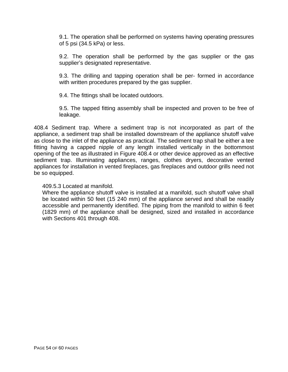9.1. The operation shall be performed on systems having operating pressures of 5 psi (34.5 kPa) or less.

9.2. The operation shall be performed by the gas supplier or the gas supplier's designated representative.

9.3. The drilling and tapping operation shall be per- formed in accordance with written procedures prepared by the gas supplier.

9.4. The fittings shall be located outdoors.

9.5. The tapped fitting assembly shall be inspected and proven to be free of leakage.

408.4 Sediment trap. Where a sediment trap is not incorporated as part of the appliance, a sediment trap shall be installed downstream of the appliance shutoff valve as close to the inlet of the appliance as practical. The sediment trap shall be either a tee fitting having a capped nipple of any length installed vertically in the bottommost opening of the tee as illustrated in Figure 408.4 or other device approved as an effective sediment trap. Illuminating appliances, ranges, clothes dryers, decorative vented appliances for installation in vented fireplaces, gas fireplaces and outdoor grills need not be so equipped.

409.5.3 Located at manifold.

Where the appliance shutoff valve is installed at a manifold, such shutoff valve shall be located within 50 feet (15 240 mm) of the appliance served and shall be readily accessible and permanently identified. The piping from the manifold to within 6 feet (1829 mm) of the appliance shall be designed, sized and installed in accordance with Sections 401 through 408.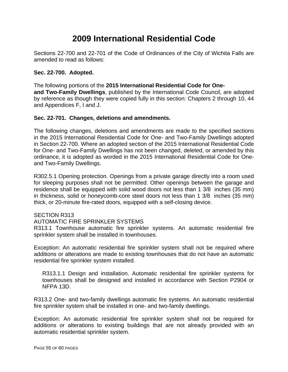# **2009 International Residential Code**

Sections 22-700 and 22-701 of the Code of Ordinances of the City of Wichita Falls are amended to read as follows:

# **Sec. 22-700. Adopted.**

The following portions of the **2015 International Residential Code for Oneand Two-Family Dwellings**, published by the International Code Council, are adopted by reference as though they were copied fully in this section: Chapters 2 through 10, 44 and Appendices F, I and J.

# **Sec. 22-701. Changes, deletions and amendments.**

The following changes, deletions and amendments are made to the specified sections in the 2015 International Residential Code for One- and Two-Family Dwellings adopted in Section 22-700. Where an adopted section of the 2015 International Residential Code for One- and Two-Family Dwellings has not been changed, deleted, or amended by this ordinance, it is adopted as worded in the 2015 International Residential Code for Oneand Two-Family Dwellings.

R302.5.1 Opening protection. Openings from a private garage directly into a room used for sleeping purposes shall not be permitted. Other openings between the garage and residence shall be equipped with solid wood doors not less than 1 3/8 inches (35 mm) in thickness, solid or honeycomb-core steel doors not less than 1 3/8 inches (35 mm) thick, or 20-minute fire-rated doors, equipped with a self-closing device.

# SECTION R313

# AUTOMATIC FIRE SPRINKLER SYSTEMS

R313.1 Townhouse automatic fire sprinkler systems. An automatic residential fire sprinkler system shall be installed in townhouses.

Exception: An automatic residential fire sprinkler system shall not be required where additions or alterations are made to existing townhouses that do not have an automatic residential fire sprinkler system installed.

R313.1.1 Design and installation. Automatic residential fire sprinkler systems for townhouses shall be designed and installed in accordance with Section P2904 or NFPA 13D.

R313.2 One- and two-family dwellings automatic fire systems. An automatic residential fire sprinkler system shall be installed in one- and two-family dwellings.

Exception: An automatic residential fire sprinkler system shall not be required for additions or alterations to existing buildings that are not already provided with an automatic residential sprinkler system.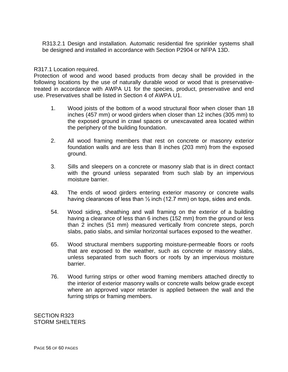R313.2.1 Design and installation. Automatic residential fire sprinkler systems shall be designed and installed in accordance with Section P2904 or NFPA 13D.

# R317.1 Location required.

Protection of wood and wood based products from decay shall be provided in the following locations by the use of naturally durable wood or wood that is preservativetreated in accordance with AWPA U1 for the species, product, preservative and end use. Preservatives shall be listed in Section 4 of AWPA U1.

- 1. Wood joists of the bottom of a wood structural floor when closer than 18 inches (457 mm) or wood girders when closer than 12 inches (305 mm) to the exposed ground in crawl spaces or unexcavated area located within the periphery of the building foundation.
- 2. All wood framing members that rest on concrete or masonry exterior foundation walls and are less than 8 inches (203 mm) from the exposed ground.
- 3. Sills and sleepers on a concrete or masonry slab that is in direct contact with the ground unless separated from such slab by an impervious moisture barrier.
- 43. The ends of wood girders entering exterior masonry or concrete walls having clearances of less than 1/2 inch (12.7 mm) on tops, sides and ends.
- 54. Wood siding, sheathing and wall framing on the exterior of a building having a clearance of less than 6 inches (152 mm) from the ground or less than 2 inches (51 mm) measured vertically from concrete steps, porch slabs, patio slabs, and similar horizontal surfaces exposed to the weather.
- 65. Wood structural members supporting moisture-permeable floors or roofs that are exposed to the weather, such as concrete or masonry slabs, unless separated from such floors or roofs by an impervious moisture barrier.
- 76. Wood furring strips or other wood framing members attached directly to the interior of exterior masonry walls or concrete walls below grade except where an approved vapor retarder is applied between the wall and the furring strips or framing members.

SECTION R323 STORM SHELTERS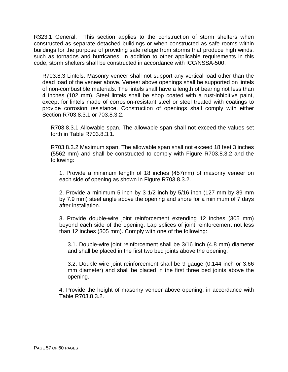R323.1 General. This section applies to the construction of storm shelters when constructed as separate detached buildings or when constructed as safe rooms within buildings for the purpose of providing safe refuge from storms that produce high winds, such as tornados and hurricanes. In addition to other applicable requirements in this code, storm shelters shall be constructed in accordance with ICC/NSSA-500.

R703.8.3 Lintels. Masonry veneer shall not support any vertical load other than the dead load of the veneer above. Veneer above openings shall be supported on lintels of non-combustible materials. The lintels shall have a length of bearing not less than 4 inches (102 mm). Steel lintels shall be shop coated with a rust-inhibitive paint, except for lintels made of corrosion-resistant steel or steel treated with coatings to provide corrosion resistance. Construction of openings shall comply with either Section R703.8.3.1 or 703.8.3.2.

R703.8.3.1 Allowable span. The allowable span shall not exceed the values set forth in Table R703.8.3.1.

R703.8.3.2 Maximum span. The allowable span shall not exceed 18 feet 3 inches (5562 mm) and shall be constructed to comply with Figure R703.8.3.2 and the following:

1. Provide a minimum length of 18 inches (457mm) of masonry veneer on each side of opening as shown in Figure R703.8.3.2.

2. Provide a minimum 5-inch by 3 1/2 inch by 5/16 inch (127 mm by 89 mm by 7.9 mm) steel angle above the opening and shore for a minimum of 7 days after installation.

3. Provide double-wire joint reinforcement extending 12 inches (305 mm) beyond each side of the opening. Lap splices of joint reinforcement not less than 12 inches (305 mm). Comply with one of the following:

3.1. Double-wire joint reinforcement shall be 3/16 inch (4.8 mm) diameter and shall be placed in the first two bed joints above the opening.

3.2. Double-wire joint reinforcement shall be 9 gauge (0.144 inch or 3.66 mm diameter) and shall be placed in the first three bed joints above the opening.

4. Provide the height of masonry veneer above opening, in accordance with Table R703.8.3.2.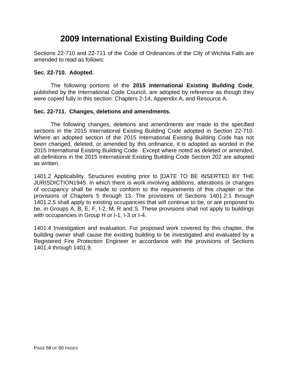# **2009 International Existing Building Code**

Sections 22-710 and 22-711 of the Code of Ordinances of the City of Wichita Falls are amended to read as follows:

# **Sec. 22-710. Adopted.**

The following portions of the **2015 International Existing Building Code**, published by the International Code Council, are adopted by reference as though they were copied fully in this section: Chapters 2-14, Appendix A, and Resource A.

# **Sec. 22-711. Changes, deletions and amendments.**

The following changes, deletions and amendments are made to the specified sections in the 2015 International Existing Building Code adopted in Section 22-710. Where an adopted section of the 2015 International Existing Building Code has not been changed, deleted, or amended by this ordinance, it is adopted as worded in the 2015 International Existing Building Code. Except where noted as deleted or amended, all definitions in the 2015 International Existing Building Code Section 202 are adopted as written.

1401.2 Applicability. Structures existing prior to [DATE TO BE INSERTED BY THE JURISDICTION1945. in which there is work involving additions, alterations or changes of occupancy shall be made to conform to the requirements of this chapter or the provisions of Chapters 5 through 13. The provisions of Sections 1401.2.1 through 1401.2.5 shall apply to existing occupancies that will continue to be, or are proposed to be, in Groups A, B, E, F, I-2, M, R and S. These provisions shall not apply to buildings with occupancies in Group H or I-1, I-3 or I-4.

1401.4 Investigation and evaluation. For proposed work covered by this chapter, the building owner shall cause the existing building to be investigated and evaluated by a Registered Fire Protection Engineer in accordance with the provisions of Sections 1401.4 through 1401.9.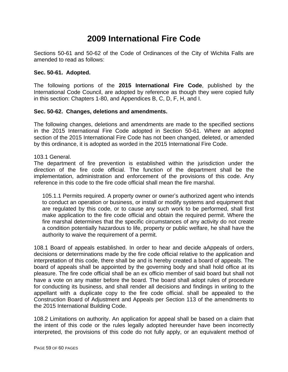# **2009 International Fire Code**

Sections 50-61 and 50-62 of the Code of Ordinances of the City of Wichita Falls are amended to read as follows:

# **Sec. 50-61. Adopted.**

The following portions of the **2015 International Fire Code**, published by the International Code Council, are adopted by reference as though they were copied fully in this section: Chapters 1-80, and Appendices B, C, D, F, H, and I.

# **Sec. 50-62. Changes, deletions and amendments.**

The following changes, deletions and amendments are made to the specified sections in the 2015 International Fire Code adopted in Section 50-61. Where an adopted section of the 2015 International Fire Code has not been changed, deleted, or amended by this ordinance, it is adopted as worded in the 2015 International Fire Code.

103.1 General.

The department of fire prevention is established within the jurisdiction under the direction of the fire code official. The function of the department shall be the implementation, administration and enforcement of the provisions of this code. Any reference in this code to the fire code official shall mean the fire marshal.

105.1.1 Permits required. A property owner or owner's authorized agent who intends to conduct an operation or business, or install or modify systems and equipment that are regulated by this code, or to cause any such work to be performed, shall first make application to the fire code official and obtain the required permit. Where the fire marshal determines that the specific circumstances of any activity do not create a condition potentially hazardous to life, property or public welfare, he shall have the authority to waive the requirement of a permit.

108.1 Board of appeals established. In order to hear and decide aAppeals of orders, decisions or determinations made by the fire code official relative to the application and interpretation of this code, there shall be and is hereby created a board of appeals. The board of appeals shall be appointed by the governing body and shall hold office at its pleasure. The fire code official shall be an ex officio member of said board but shall not have a vote on any matter before the board. The board shall adopt rules of procedure for conducting its business, and shall render all decisions and findings in writing to the appellant with a duplicate copy to the fire code official. shall be appealed to the Construction Board of Adjustment and Appeals per Section 113 of the amendments to the 2015 International Building Code.

108.2 Limitations on authority. An application for appeal shall be based on a claim that the intent of this code or the rules legally adopted hereunder have been incorrectly interpreted, the provisions of this code do not fully apply, or an equivalent method of